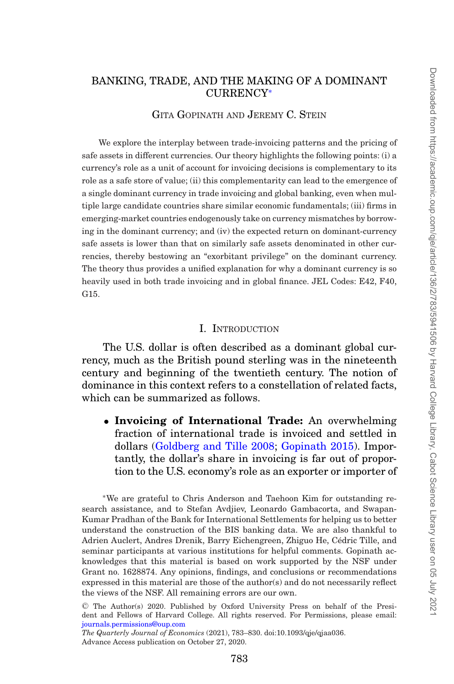# BANKING, TRADE, AND THE MAKING OF A DOMINANT CURRENCY[∗](#page-0-0)

## GITA GOPINATH AND JEREMY C. STEIN

We explore the interplay between trade-invoicing patterns and the pricing of safe assets in different currencies. Our theory highlights the following points: (i) a currency's role as a unit of account for invoicing decisions is complementary to its role as a safe store of value; (ii) this complementarity can lead to the emergence of a single dominant currency in trade invoicing and global banking, even when multiple large candidate countries share similar economic fundamentals; (iii) firms in emerging-market countries endogenously take on currency mismatches by borrowing in the dominant currency; and (iv) the expected return on dominant-currency safe assets is lower than that on similarly safe assets denominated in other currencies, thereby bestowing an "exorbitant privilege" on the dominant currency. The theory thus provides a unified explanation for why a dominant currency is so heavily used in both trade invoicing and in global finance. JEL Codes: E42, F40, G15.

## I. INTRODUCTION

The U.S. dollar is often described as a dominant global currency, much as the British pound sterling was in the nineteenth century and beginning of the twentieth century. The notion of dominance in this context refers to a constellation of related facts, which can be summarized as follows.

• **Invoicing of International Trade:** An overwhelming fraction of international trade is invoiced and settled in dollars [\(Goldberg and Tille 2008;](#page-46-0) [Gopinath 2015\)](#page-46-1). Importantly, the dollar's share in invoicing is far out of proportion to the U.S. economy's role as an exporter or importer of

<span id="page-0-0"></span>∗We are grateful to Chris Anderson and Taehoon Kim for outstanding research assistance, and to Stefan Avdjiev, Leonardo Gambacorta, and Swapan-Kumar Pradhan of the Bank for International Settlements for helping us to better understand the construction of the BIS banking data. We are also thankful to Adrien Auclert, Andres Drenik, Barry Eichengreen, Zhiguo He, Cedric Tille, and ´ seminar participants at various institutions for helpful comments. Gopinath acknowledges that this material is based on work supported by the NSF under Grant no. 1628874. Any opinions, findings, and conclusions or recommendations expressed in this material are those of the author(s) and do not necessarily reflect the views of the NSF. All remaining errors are our own.

<sup>C</sup> The Author(s) 2020. Published by Oxford University Press on behalf of the President and Fellows of Harvard College. All rights reserved. For Permissions, please email: [journals.permissions@oup.com](mailto:journals.permissions@oup.com)

*The Quarterly Journal of Economics* (2021), 783–830. doi:10.1093/qje/qjaa036. Advance Access publication on October 27, 2020.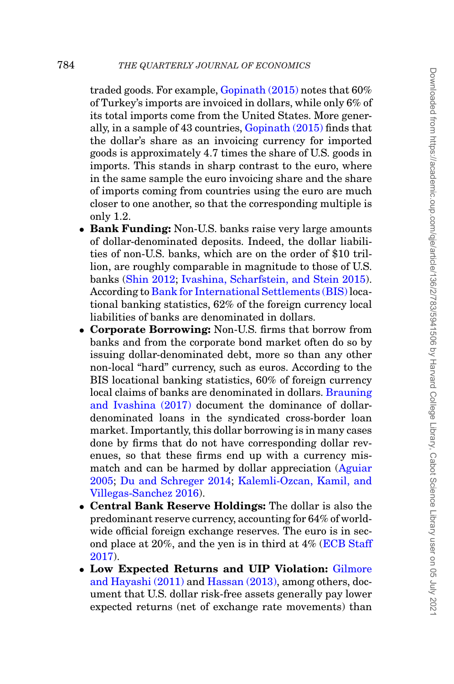traded goods. For example, [Gopinath \(2015\)](#page-46-1) notes that 60% of Turkey's imports are invoiced in dollars, while only 6% of its total imports come from the United States. More generally, in a sample of 43 countries, [Gopinath \(2015\)](#page-46-1) finds that the dollar's share as an invoicing currency for imported goods is approximately 4.7 times the share of U.S. goods in imports. This stands in sharp contrast to the euro, where in the same sample the euro invoicing share and the share of imports coming from countries using the euro are much closer to one another, so that the corresponding multiple is only 1.2.

- **Bank Funding:** Non-U.S. banks raise very large amounts of dollar-denominated deposits. Indeed, the dollar liabilities of non-U.S. banks, which are on the order of \$10 trillion, are roughly comparable in magnitude to those of U.S. banks [\(Shin 2012;](#page-47-0) [Ivashina, Scharfstein, and Stein 2015\)](#page-47-1). According to [Bank for International Settlements \(BIS\)](#page-46-2) locational banking statistics, 62% of the foreign currency local liabilities of banks are denominated in dollars.
- **Corporate Borrowing:** Non-U.S. firms that borrow from banks and from the corporate bond market often do so by issuing dollar-denominated debt, more so than any other non-local "hard" currency, such as euros. According to the BIS locational banking statistics, 60% of foreign currency local claims of banks are denominated in dollars. [Brauning](#page-46-3) [and Ivashina \(2017\)](#page-46-3) document the dominance of dollardenominated loans in the syndicated cross-border loan market. Importantly, this dollar borrowing is in many cases done by firms that do not have corresponding dollar revenues, so that these firms end up with a currency mismatch and can be harmed by dollar appreciation [\(Aguiar](#page-45-0) [2005;](#page-45-0) [Du and Schreger 2014;](#page-46-4) [Kalemli-Ozcan, Kamil, and](#page-47-2) [Villegas-Sanchez 2016\)](#page-47-2).
- **Central Bank Reserve Holdings:** The dollar is also the predominant reserve currency, accounting for 64% of worldwide official foreign exchange reserves. The euro is in second place at 20%, and the yen is in third at 4% [\(ECB Staff](#page-46-5) [2017\)](#page-46-5).
- **Low Expected Returns and UIP Violation:** [Gilmore](#page-46-6) [and Hayashi \(2011\)](#page-46-6) and [Hassan \(2013\),](#page-47-3) among others, document that U.S. dollar risk-free assets generally pay lower expected returns (net of exchange rate movements) than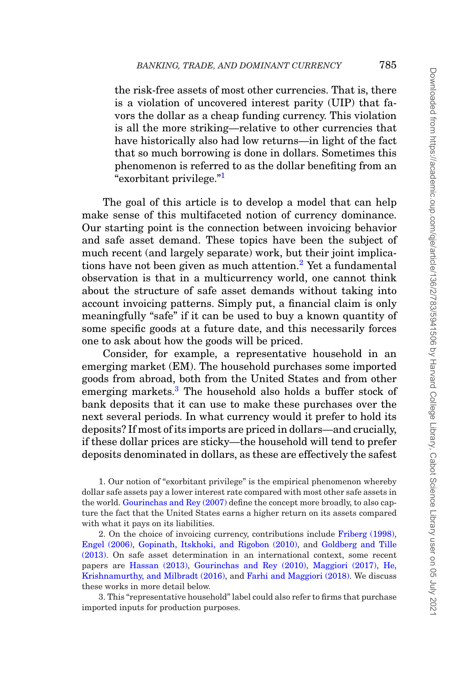the risk-free assets of most other currencies. That is, there is a violation of uncovered interest parity (UIP) that favors the dollar as a cheap funding currency. This violation is all the more striking—relative to other currencies that have historically also had low returns—in light of the fact that so much borrowing is done in dollars. Sometimes this phenomenon is referred to as the dollar benefiting from an "exorbitant privilege."[1](#page-2-0)

The goal of this article is to develop a model that can help make sense of this multifaceted notion of currency dominance. Our starting point is the connection between invoicing behavior and safe asset demand. These topics have been the subject of much recent (and largely separate) work, but their joint implica-tions have not been given as much attention.<sup>[2](#page-2-1)</sup> Yet a fundamental observation is that in a multicurrency world, one cannot think about the structure of safe asset demands without taking into account invoicing patterns. Simply put, a financial claim is only meaningfully "safe" if it can be used to buy a known quantity of some specific goods at a future date, and this necessarily forces one to ask about how the goods will be priced.

Consider, for example, a representative household in an emerging market (EM). The household purchases some imported goods from abroad, both from the United States and from other emerging markets.<sup>3</sup> The household also holds a buffer stock of bank deposits that it can use to make these purchases over the next several periods. In what currency would it prefer to hold its deposits? If most of its imports are priced in dollars—and crucially, if these dollar prices are sticky—the household will tend to prefer deposits denominated in dollars, as these are effectively the safest

<span id="page-2-0"></span>1. Our notion of "exorbitant privilege" is the empirical phenomenon whereby dollar safe assets pay a lower interest rate compared with most other safe assets in the world. [Gourinchas and Rey \(2007\)](#page-46-7) define the concept more broadly, to also capture the fact that the United States earns a higher return on its assets compared with what it pays on its liabilities.

<span id="page-2-1"></span>2. On the choice of invoicing currency, contributions include [Friberg \(1998\),](#page-46-8) [Engel \(2006\),](#page-46-9) [Gopinath, Itskhoki, and Rigobon \(2010\),](#page-46-10) and [Goldberg and Tille](#page-46-11) [\(2013\).](#page-46-11) On safe asset determination in an international context, some recent papers are [Hassan \(2013\),](#page-47-3) [Gourinchas and Rey \(2010\),](#page-46-12) [Maggiori \(2017\),](#page-47-4) [He,](#page-47-5) [Krishnamurthy, and Milbradt \(2016\),](#page-47-5) and [Farhi and Maggiori \(2018\).](#page-46-13) We discuss these works in more detail below.

<span id="page-2-2"></span>3. This "representative household" label could also refer to firms that purchase imported inputs for production purposes.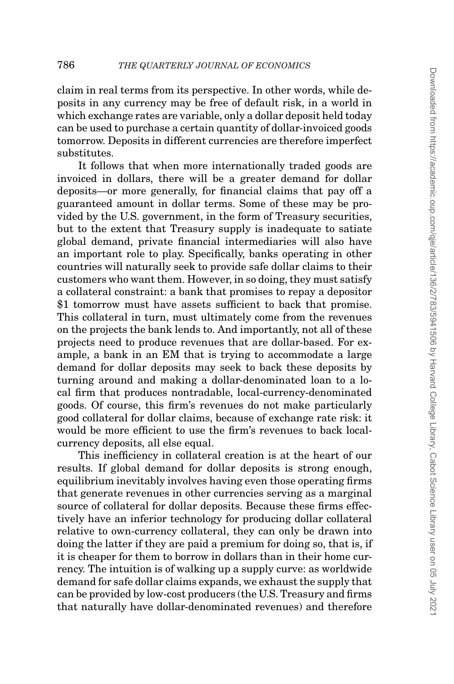claim in real terms from its perspective. In other words, while deposits in any currency may be free of default risk, in a world in which exchange rates are variable, only a dollar deposit held today can be used to purchase a certain quantity of dollar-invoiced goods tomorrow. Deposits in different currencies are therefore imperfect substitutes.

It follows that when more internationally traded goods are invoiced in dollars, there will be a greater demand for dollar deposits—or more generally, for financial claims that pay off a guaranteed amount in dollar terms. Some of these may be provided by the U.S. government, in the form of Treasury securities, but to the extent that Treasury supply is inadequate to satiate global demand, private financial intermediaries will also have an important role to play. Specifically, banks operating in other countries will naturally seek to provide safe dollar claims to their customers who want them. However, in so doing, they must satisfy a collateral constraint: a bank that promises to repay a depositor \$1 tomorrow must have assets sufficient to back that promise. This collateral in turn, must ultimately come from the revenues on the projects the bank lends to. And importantly, not all of these projects need to produce revenues that are dollar-based. For example, a bank in an EM that is trying to accommodate a large demand for dollar deposits may seek to back these deposits by turning around and making a dollar-denominated loan to a local firm that produces nontradable, local-currency-denominated goods. Of course, this firm's revenues do not make particularly good collateral for dollar claims, because of exchange rate risk: it would be more efficient to use the firm's revenues to back localcurrency deposits, all else equal.

This inefficiency in collateral creation is at the heart of our results. If global demand for dollar deposits is strong enough, equilibrium inevitably involves having even those operating firms that generate revenues in other currencies serving as a marginal source of collateral for dollar deposits. Because these firms effectively have an inferior technology for producing dollar collateral relative to own-currency collateral, they can only be drawn into doing the latter if they are paid a premium for doing so, that is, if it is cheaper for them to borrow in dollars than in their home currency. The intuition is of walking up a supply curve: as worldwide demand for safe dollar claims expands, we exhaust the supply that can be provided by low-cost producers (the U.S. Treasury and firms that naturally have dollar-denominated revenues) and therefore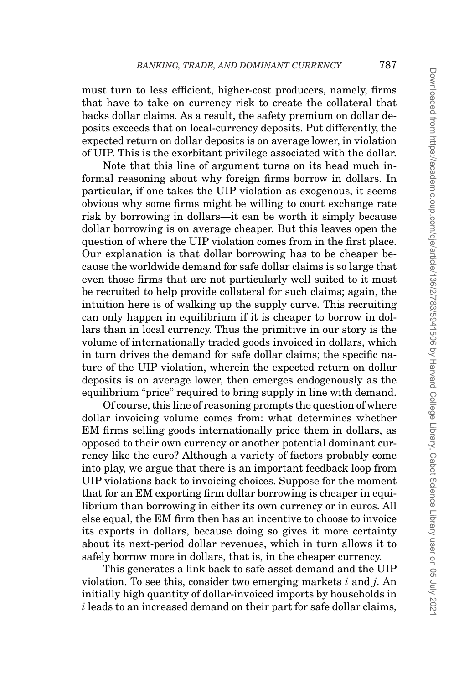must turn to less efficient, higher-cost producers, namely, firms that have to take on currency risk to create the collateral that backs dollar claims. As a result, the safety premium on dollar deposits exceeds that on local-currency deposits. Put differently, the expected return on dollar deposits is on average lower, in violation of UIP. This is the exorbitant privilege associated with the dollar.

Note that this line of argument turns on its head much informal reasoning about why foreign firms borrow in dollars. In particular, if one takes the UIP violation as exogenous, it seems obvious why some firms might be willing to court exchange rate risk by borrowing in dollars—it can be worth it simply because dollar borrowing is on average cheaper. But this leaves open the question of where the UIP violation comes from in the first place. Our explanation is that dollar borrowing has to be cheaper because the worldwide demand for safe dollar claims is so large that even those firms that are not particularly well suited to it must be recruited to help provide collateral for such claims; again, the intuition here is of walking up the supply curve. This recruiting can only happen in equilibrium if it is cheaper to borrow in dollars than in local currency. Thus the primitive in our story is the volume of internationally traded goods invoiced in dollars, which in turn drives the demand for safe dollar claims; the specific nature of the UIP violation, wherein the expected return on dollar deposits is on average lower, then emerges endogenously as the equilibrium "price" required to bring supply in line with demand.

Of course, this line of reasoning prompts the question of where dollar invoicing volume comes from: what determines whether EM firms selling goods internationally price them in dollars, as opposed to their own currency or another potential dominant currency like the euro? Although a variety of factors probably come into play, we argue that there is an important feedback loop from UIP violations back to invoicing choices. Suppose for the moment that for an EM exporting firm dollar borrowing is cheaper in equilibrium than borrowing in either its own currency or in euros. All else equal, the EM firm then has an incentive to choose to invoice its exports in dollars, because doing so gives it more certainty about its next-period dollar revenues, which in turn allows it to safely borrow more in dollars, that is, in the cheaper currency.

This generates a link back to safe asset demand and the UIP violation. To see this, consider two emerging markets *i* and *j*. An initially high quantity of dollar-invoiced imports by households in *i* leads to an increased demand on their part for safe dollar claims,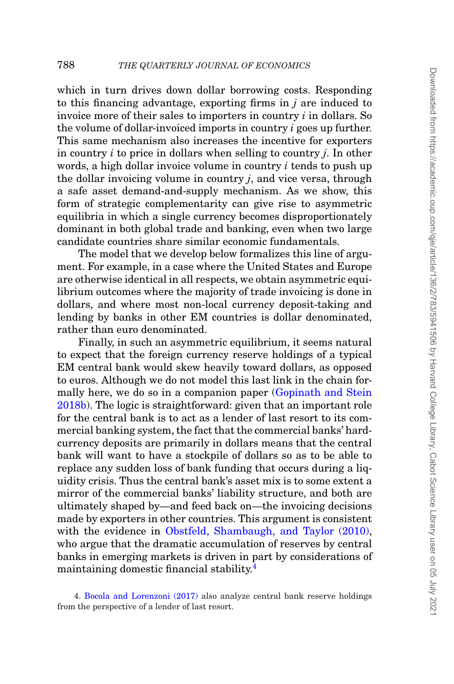which in turn drives down dollar borrowing costs. Responding to this financing advantage, exporting firms in *j* are induced to invoice more of their sales to importers in country *i* in dollars. So the volume of dollar-invoiced imports in country *i* goes up further. This same mechanism also increases the incentive for exporters in country *i* to price in dollars when selling to country *j*. In other words, a high dollar invoice volume in country *i* tends to push up the dollar invoicing volume in country *j*, and vice versa, through a safe asset demand-and-supply mechanism. As we show, this form of strategic complementarity can give rise to asymmetric equilibria in which a single currency becomes disproportionately dominant in both global trade and banking, even when two large candidate countries share similar economic fundamentals.

The model that we develop below formalizes this line of argument. For example, in a case where the United States and Europe are otherwise identical in all respects, we obtain asymmetric equilibrium outcomes where the majority of trade invoicing is done in dollars, and where most non-local currency deposit-taking and lending by banks in other EM countries is dollar denominated, rather than euro denominated.

Finally, in such an asymmetric equilibrium, it seems natural to expect that the foreign currency reserve holdings of a typical EM central bank would skew heavily toward dollars, as opposed to euros. Although we do not model this last link in the chain formally here, we do so in a companion paper [\(Gopinath and Stein](#page-46-14) [2018b\)](#page-46-14). The logic is straightforward: given that an important role for the central bank is to act as a lender of last resort to its commercial banking system, the fact that the commercial banks' hardcurrency deposits are primarily in dollars means that the central bank will want to have a stockpile of dollars so as to be able to replace any sudden loss of bank funding that occurs during a liquidity crisis. Thus the central bank's asset mix is to some extent a mirror of the commercial banks' liability structure, and both are ultimately shaped by—and feed back on—the invoicing decisions made by exporters in other countries. This argument is consistent with the evidence in [Obstfeld, Shambaugh, and Taylor \(2010\),](#page-47-6) who argue that the dramatic accumulation of reserves by central banks in emerging markets is driven in part by considerations of maintaining domestic financial stability[.4](#page-5-0)

<span id="page-5-0"></span><sup>4.</sup> [Bocola and Lorenzoni \(2017\)](#page-46-15) also analyze central bank reserve holdings from the perspective of a lender of last resort.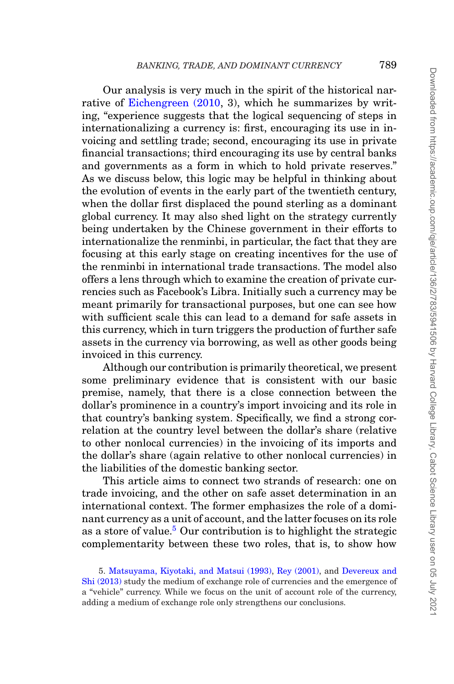Our analysis is very much in the spirit of the historical nar-rative of [Eichengreen \(2010,](#page-46-16) 3), which he summarizes by writing, "experience suggests that the logical sequencing of steps in internationalizing a currency is: first, encouraging its use in invoicing and settling trade; second, encouraging its use in private financial transactions; third encouraging its use by central banks and governments as a form in which to hold private reserves." As we discuss below, this logic may be helpful in thinking about the evolution of events in the early part of the twentieth century, when the dollar first displaced the pound sterling as a dominant global currency. It may also shed light on the strategy currently being undertaken by the Chinese government in their efforts to internationalize the renminbi, in particular, the fact that they are focusing at this early stage on creating incentives for the use of the renminbi in international trade transactions. The model also offers a lens through which to examine the creation of private currencies such as Facebook's Libra. Initially such a currency may be meant primarily for transactional purposes, but one can see how with sufficient scale this can lead to a demand for safe assets in this currency, which in turn triggers the production of further safe assets in the currency via borrowing, as well as other goods being invoiced in this currency.

Although our contribution is primarily theoretical, we present some preliminary evidence that is consistent with our basic premise, namely, that there is a close connection between the dollar's prominence in a country's import invoicing and its role in that country's banking system. Specifically, we find a strong correlation at the country level between the dollar's share (relative to other nonlocal currencies) in the invoicing of its imports and the dollar's share (again relative to other nonlocal currencies) in the liabilities of the domestic banking sector.

This article aims to connect two strands of research: one on trade invoicing, and the other on safe asset determination in an international context. The former emphasizes the role of a dominant currency as a unit of account, and the latter focuses on its role as a store of value.<sup>[5](#page-6-0)</sup> Our contribution is to highlight the strategic complementarity between these two roles, that is, to show how

<span id="page-6-0"></span>5. [Matsuyama, Kiyotaki, and Matsui \(1993\),](#page-47-7) [Rey \(2001\),](#page-47-8) and [Devereux and](#page-46-17) [Shi \(2013\)](#page-46-17) study the medium of exchange role of currencies and the emergence of a "vehicle" currency. While we focus on the unit of account role of the currency, adding a medium of exchange role only strengthens our conclusions.

Downloaded from https://academic.cup.com/cje/article/136/2/783/5941506 by Harvard College Library, Cabot Science Library user on 05 July 202 Downloaded from https://academic.oup.com/qje/article/136/2/783/5941506 by Harvard College Library, Cabot Science Library user on 05 July 2021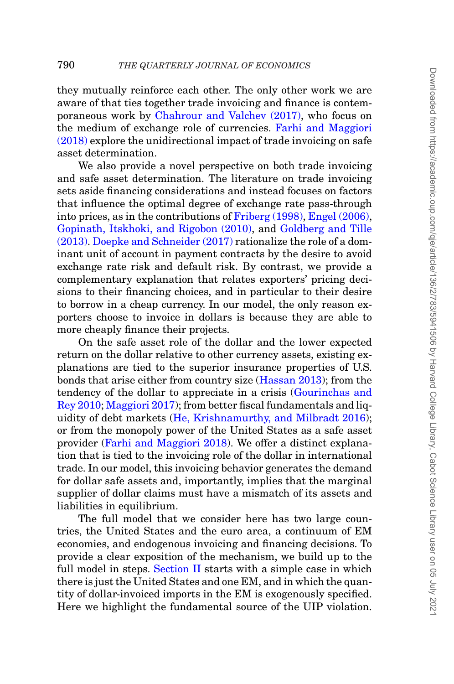they mutually reinforce each other. The only other work we are aware of that ties together trade invoicing and finance is contemporaneous work by [Chahrour and Valchev \(2017\),](#page-46-18) who focus on the medium of exchange role of currencies. [Farhi and Maggiori](#page-46-13) [\(2018\)](#page-46-13) explore the unidirectional impact of trade invoicing on safe asset determination.

We also provide a novel perspective on both trade invoicing and safe asset determination. The literature on trade invoicing sets aside financing considerations and instead focuses on factors that influence the optimal degree of exchange rate pass-through into prices, as in the contributions of [Friberg \(1998\),](#page-46-8) [Engel \(2006\),](#page-46-9) [Gopinath, Itskhoki, and Rigobon \(2010\),](#page-46-10) and [Goldberg and Tille](#page-46-11) [\(2013\).](#page-46-11) [Doepke and Schneider \(2017\)](#page-46-19) rationalize the role of a dominant unit of account in payment contracts by the desire to avoid exchange rate risk and default risk. By contrast, we provide a complementary explanation that relates exporters' pricing decisions to their financing choices, and in particular to their desire to borrow in a cheap currency. In our model, the only reason exporters choose to invoice in dollars is because they are able to more cheaply finance their projects.

On the safe asset role of the dollar and the lower expected return on the dollar relative to other currency assets, existing explanations are tied to the superior insurance properties of U.S. bonds that arise either from country size [\(Hassan 2013\)](#page-47-3); from the tendency of the dollar to appreciate in a crisis [\(Gourinchas and](#page-46-12) [Rey 2010;](#page-46-12) [Maggiori 2017\)](#page-47-4); from better fiscal fundamentals and liquidity of debt markets [\(He, Krishnamurthy, and Milbradt 2016\)](#page-47-5); or from the monopoly power of the United States as a safe asset provider [\(Farhi and Maggiori 2018\)](#page-46-13). We offer a distinct explanation that is tied to the invoicing role of the dollar in international trade. In our model, this invoicing behavior generates the demand for dollar safe assets and, importantly, implies that the marginal supplier of dollar claims must have a mismatch of its assets and liabilities in equilibrium.

The full model that we consider here has two large countries, the United States and the euro area, a continuum of EM economies, and endogenous invoicing and financing decisions. To provide a clear exposition of the mechanism, we build up to the full model in steps. [Section II](#page-8-0) starts with a simple case in which there is just the United States and one EM, and in which the quantity of dollar-invoiced imports in the EM is exogenously specified. Here we highlight the fundamental source of the UIP violation.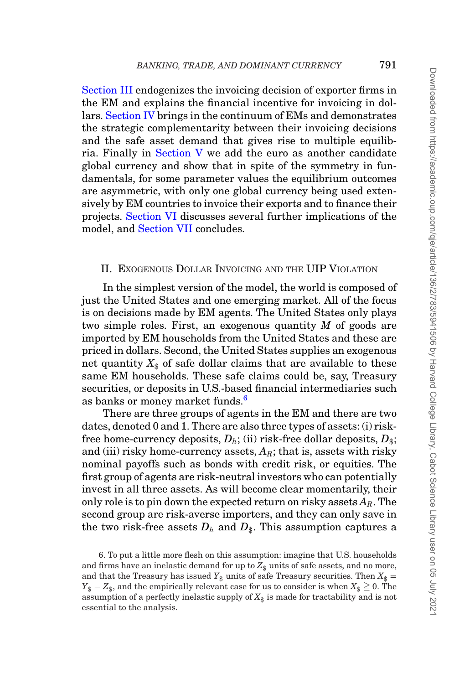[Section III](#page-17-0) endogenizes the invoicing decision of exporter firms in the EM and explains the financial incentive for invoicing in dollars. [Section IV](#page-22-0) brings in the continuum of EMs and demonstrates the strategic complementarity between their invoicing decisions and the safe asset demand that gives rise to multiple equilibria. Finally in [Section V](#page-28-0) we add the euro as another candidate global currency and show that in spite of the symmetry in fundamentals, for some parameter values the equilibrium outcomes are asymmetric, with only one global currency being used extensively by EM countries to invoice their exports and to finance their projects. [Section VI](#page-39-0) discusses several further implications of the model, and [Section VII](#page-44-0) concludes.

## <span id="page-8-0"></span>II. EXOGENOUS DOLLAR INVOICING AND THE UIP VIOLATION

In the simplest version of the model, the world is composed of just the United States and one emerging market. All of the focus is on decisions made by EM agents. The United States only plays two simple roles. First, an exogenous quantity *M* of goods are imported by EM households from the United States and these are priced in dollars. Second, the United States supplies an exogenous net quantity  $X_{\text{\$}}$  of safe dollar claims that are available to these same EM households. These safe claims could be, say, Treasury securities, or deposits in U.S.-based financial intermediaries such as banks or money market funds.<sup>6</sup>

There are three groups of agents in the EM and there are two dates, denoted 0 and 1. There are also three types of assets: (i) riskfree home-currency deposits,  $D_h$ ; (ii) risk-free dollar deposits,  $D_s$ ; and (iii) risky home-currency assets,  $A_R$ ; that is, assets with risky nominal payoffs such as bonds with credit risk, or equities. The first group of agents are risk-neutral investors who can potentially invest in all three assets. As will become clear momentarily, their only role is to pin down the expected return on risky assets  $A_R$ . The second group are risk-averse importers, and they can only save in the two risk-free assets  $D_h$  and  $D_s$ . This assumption captures a

<span id="page-8-1"></span>6. To put a little more flesh on this assumption: imagine that U.S. households and firms have an inelastic demand for up to  $Z_{\$}$  units of safe assets, and no more, and that the Treasury has issued  $Y_{\$}$  units of safe Treasury securities. Then  $X_{\$} =$  $Y_{\$} - Z_{\$},$  and the empirically relevant case for us to consider is when  $X_{\$} \geqq 0.$  The assumption of a perfectly inelastic supply of  $X_{\hat{\bm{\theta}}}$  is made for tractability and is not essential to the analysis.

Downloaded from https://academic.cup.com/cje/article/136/2/783/5941506 by Harvard College Library, Cabot Science Library user on 05 July 202 Downloaded from https://academic.oup.com/qje/article/136/2/783/5941506 by Harvard College Library, Cabot Science Library user on 05 July 2021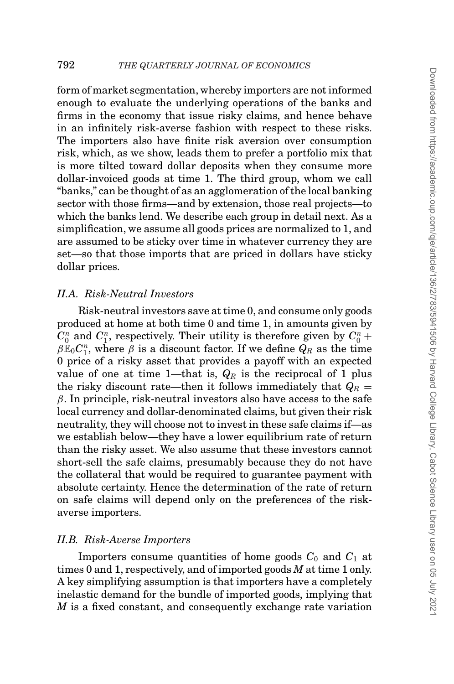form of market segmentation, whereby importers are not informed enough to evaluate the underlying operations of the banks and firms in the economy that issue risky claims, and hence behave in an infinitely risk-averse fashion with respect to these risks. The importers also have finite risk aversion over consumption risk, which, as we show, leads them to prefer a portfolio mix that is more tilted toward dollar deposits when they consume more dollar-invoiced goods at time 1. The third group, whom we call "banks," can be thought of as an agglomeration of the local banking sector with those firms—and by extension, those real projects—to which the banks lend. We describe each group in detail next. As a simplification, we assume all goods prices are normalized to 1, and are assumed to be sticky over time in whatever currency they are set—so that those imports that are priced in dollars have sticky dollar prices.

# *II.A. Risk-Neutral Investors*

Risk-neutral investors save at time 0, and consume only goods produced at home at both time 0 and time 1, in amounts given by  $C_0^n$  and  $C_1^n$ , respectively. Their utility is therefore given by  $C_0^n$  +  $\beta \mathbb{E}_0 C_1^n$ , where  $\beta$  is a discount factor. If we define  $Q_R$  as the time 0 price of a risky asset that provides a payoff with an expected value of one at time 1—that is,  $Q_R$  is the reciprocal of 1 plus the risky discount rate—then it follows immediately that  $Q_R =$  $\beta$ . In principle, risk-neutral investors also have access to the safe local currency and dollar-denominated claims, but given their risk neutrality, they will choose not to invest in these safe claims if—as we establish below—they have a lower equilibrium rate of return than the risky asset. We also assume that these investors cannot short-sell the safe claims, presumably because they do not have the collateral that would be required to guarantee payment with absolute certainty. Hence the determination of the rate of return on safe claims will depend only on the preferences of the riskaverse importers.

#### *II.B. Risk-Averse Importers*

Importers consume quantities of home goods  $C_0$  and  $C_1$  at times 0 and 1, respectively, and of imported goods *M* at time 1 only. A key simplifying assumption is that importers have a completely inelastic demand for the bundle of imported goods, implying that *M* is a fixed constant, and consequently exchange rate variation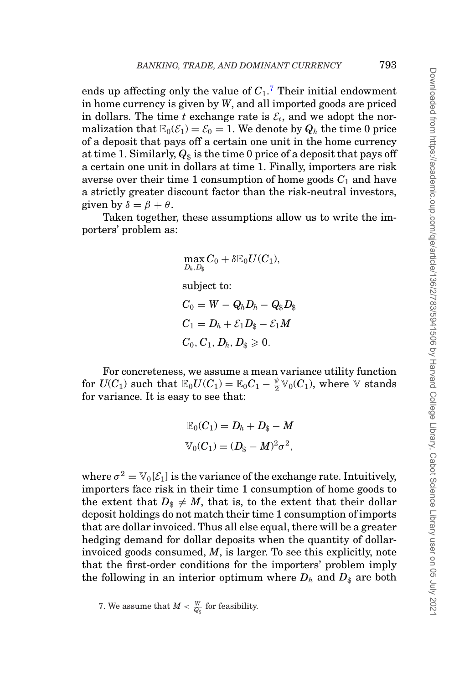ends up affecting only the value of *C*1. [7](#page-10-0) Their initial endowment in home currency is given by *W*, and all imported goods are priced in dollars. The time *t* exchange rate is  $\mathcal{E}_t$ , and we adopt the normalization that  $\mathbb{E}_0(\mathcal{E}_1) = \mathcal{E}_0 = 1$ . We denote by  $Q_h$  the time 0 price of a deposit that pays off a certain one unit in the home currency at time 1. Similarly,  $Q_{\$}$  is the time 0 price of a deposit that pays off a certain one unit in dollars at time 1. Finally, importers are risk averse over their time 1 consumption of home goods  $C_1$  and have a strictly greater discount factor than the risk-neutral investors, given by  $\delta = \beta + \theta$ .

Taken together, these assumptions allow us to write the importers' problem as:

$$
\begin{aligned} & \max_{D_h,D_\S} C_0 + \delta \mathbb{E}_0 U(C_1), \\ & \text{subject to:} \\ & C_0 = W - Q_h D_h - Q_\S D_\S \\ & C_1 = D_h + \mathcal{E}_1 D_\S - \mathcal{E}_1 M \\ & C_0, C_1, D_h, D_\S \geqslant 0. \end{aligned}
$$

For concreteness, we assume a mean variance utility function for  $U(C_1)$  such that  $\mathbb{E}_0 U(C_1) = \mathbb{E}_0 C_1 - \frac{\psi}{2} \mathbb{V}_0(C_1)$ , where  $\mathbb {V}$  stands for variance. It is easy to see that:

$$
\mathbb{E}_0(C_1) = D_h + D_{\$} - M
$$
  

$$
\mathbb{V}_0(C_1) = (D_{\$} - M)^2 \sigma^2,
$$

where  $\sigma^2 = V_0[\mathcal{E}_1]$  is the variance of the exchange rate. Intuitively, importers face risk in their time 1 consumption of home goods to the extent that  $D_{\hat{x}} \neq M$ , that is, to the extent that their dollar deposit holdings do not match their time 1 consumption of imports that are dollar invoiced. Thus all else equal, there will be a greater hedging demand for dollar deposits when the quantity of dollarinvoiced goods consumed, *M*, is larger. To see this explicitly, note that the first-order conditions for the importers' problem imply the following in an interior optimum where  $D_h$  and  $D_s$  are both

<span id="page-10-0"></span>7. We assume that  $M < \frac{W}{Q_\$}$  for feasibility.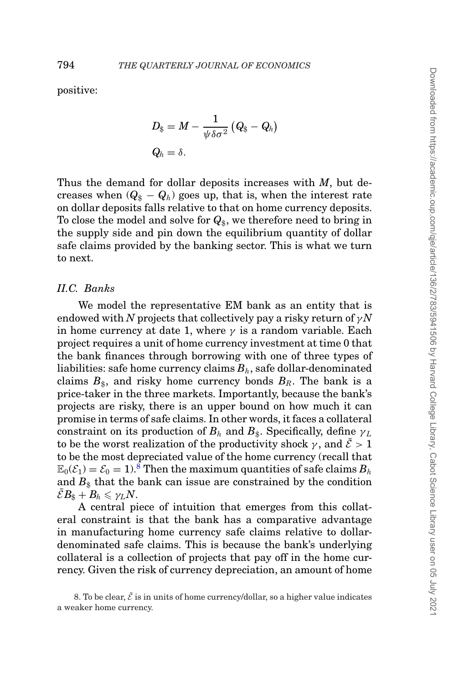positive:

$$
D_{\$} = M - \frac{1}{\psi \delta \sigma^2} (Q_{\$} - Q_h)
$$
  

$$
Q_h = \delta.
$$

Thus the demand for dollar deposits increases with *M*, but decreases when  $(Q_{\$} - Q_{h})$  goes up, that is, when the interest rate on dollar deposits falls relative to that on home currency deposits. To close the model and solve for  $Q_{\$}$ , we therefore need to bring in the supply side and pin down the equilibrium quantity of dollar safe claims provided by the banking sector. This is what we turn to next.

# *II.C. Banks*

We model the representative EM bank as an entity that is endowed with *N* projects that collectively pay a risky return of  $\gamma N$ in home currency at date 1, where  $\gamma$  is a random variable. Each project requires a unit of home currency investment at time 0 that the bank finances through borrowing with one of three types of liabilities: safe home currency claims *Bh*, safe dollar-denominated claims  $B_{\hat{s}}$ , and risky home currency bonds  $B_R$ . The bank is a price-taker in the three markets. Importantly, because the bank's projects are risky, there is an upper bound on how much it can promise in terms of safe claims. In other words, it faces a collateral constraint on its production of  $B_h$  and  $B_s$ . Specifically, define  $\gamma_L$ to be the worst realization of the productivity shock  $\gamma$ , and  $\bar{\mathcal{E}} > 1$ to be the most depreciated value of the home currency (recall that  $\mathbb{E}_0(\mathcal{E}_1) = \mathcal{E}_0 = 1$ .<sup>[8](#page-11-0)</sup> Then the maximum quantities of safe claims  $B_h$ and  $B_{\$}$  that the bank can issue are constrained by the condition  $\mathcal{E}B_{\hat{\mathbf{x}}} + B_h \leqslant \gamma_L N$ .

A central piece of intuition that emerges from this collateral constraint is that the bank has a comparative advantage in manufacturing home currency safe claims relative to dollardenominated safe claims. This is because the bank's underlying collateral is a collection of projects that pay off in the home currency. Given the risk of currency depreciation, an amount of home

<span id="page-11-0"></span><sup>8.</sup> To be clear,  $\bar{\mathcal{E}}$  is in units of home currency/dollar, so a higher value indicates a weaker home currency.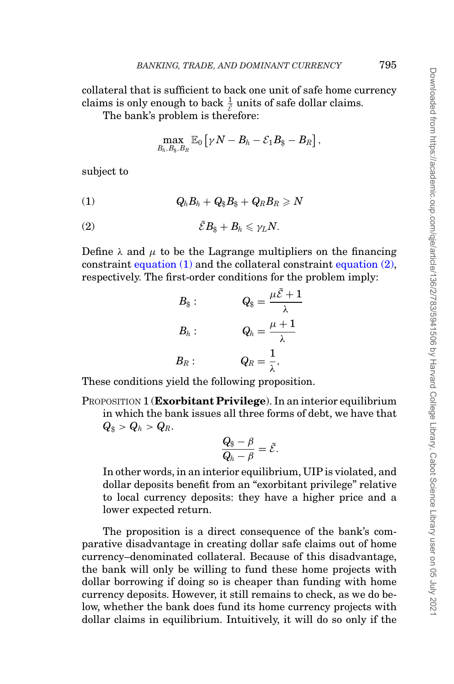collateral that is sufficient to back one unit of safe home currency claims is only enough to back  $\frac{1}{\epsilon}$  units of safe dollar claims.<br>The hank's problem is therefore.

The bank's problem is therefore:

$$
\max_{B_h,B_\$,B_R} \mathbb{E}_0\left[ \gamma N - B_h - \mathcal{E}_1 B_\$ - B_R \right],
$$

subject to

<span id="page-12-0"></span>
$$
(1) \hspace{1cm} Q_h B_h + Q_\$ B_\$ + Q_R B_R \geqslant N
$$

<span id="page-12-1"></span>
$$
(2) \t\t\t \bar{\mathcal{E}}B_{\$}+B_{h}\leqslant \gamma_{L}N.
$$

Define  $\lambda$  and  $\mu$  to be the Lagrange multipliers on the financing constraint [equation \(1\)](#page-12-0) and the collateral constraint [equation \(2\),](#page-12-1) respectively. The first-order conditions for the problem imply:

$$
B_{\$} : \t Q_{\$} = \frac{\mu \bar{\mathcal{E}} + 1}{\lambda}
$$

$$
B_{h} : \t Q_{h} = \frac{\mu + 1}{\lambda}
$$

$$
B_{R} : \t Q_{R} = \frac{1}{\lambda},
$$

These conditions yield the following proposition.

PROPOSITION 1 (**Exorbitant Privilege**). In an interior equilibrium in which the bank issues all three forms of debt, we have that  $Q_{\$} > Q_{h} > Q_{R}.$ 

$$
\frac{Q_{\$} - \beta}{Q_h - \beta} = \bar{\mathcal{E}}.
$$

In other words, in an interior equilibrium, UIP is violated, and dollar deposits benefit from an "exorbitant privilege" relative to local currency deposits: they have a higher price and a lower expected return.

The proposition is a direct consequence of the bank's comparative disadvantage in creating dollar safe claims out of home currency–denominated collateral. Because of this disadvantage, the bank will only be willing to fund these home projects with dollar borrowing if doing so is cheaper than funding with home currency deposits. However, it still remains to check, as we do below, whether the bank does fund its home currency projects with dollar claims in equilibrium. Intuitively, it will do so only if the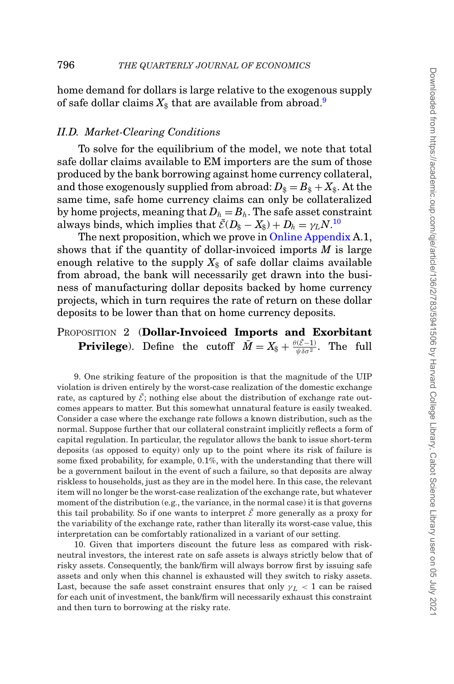home demand for dollars is large relative to the exogenous supply of safe dollar claims  $X_{\text{\$}}$  that are available from abroad.<sup>[9](#page-13-0)</sup>

#### *II.D. Market-Clearing Conditions*

To solve for the equilibrium of the model, we note that total safe dollar claims available to EM importers are the sum of those produced by the bank borrowing against home currency collateral, and those exogenously supplied from abroad:  $D_{\$} = B_{\$} + X_{\$}$ . At the same time, safe home currency claims can only be collateralized by home projects, meaning that  $D_h = B_h$ . The safe asset constraint always binds, which implies that  $\bar{\mathcal{E}}(D_{\$} - X_{\$}) + D_h = \gamma_L N^{10}$  $\bar{\mathcal{E}}(D_{\$} - X_{\$}) + D_h = \gamma_L N^{10}$  $\bar{\mathcal{E}}(D_{\$} - X_{\$}) + D_h = \gamma_L N^{10}$ 

The next proposition, which we prove in [Online Appendix](file:qje.oxfordjournals.org) A.1, shows that if the quantity of dollar-invoiced imports *M* is large enough relative to the supply  $X_{\$}$  of safe dollar claims available from abroad, the bank will necessarily get drawn into the business of manufacturing dollar deposits backed by home currency projects, which in turn requires the rate of return on these dollar deposits to be lower than that on home currency deposits.

<span id="page-13-2"></span>PROPOSITION 2 (**Dollar-Invoiced Imports and Exorbitant Privilege**). Define the cutoff  $\bar{M} = X_{\$} + \frac{\theta(\bar{\mathcal{E}}-1)}{\psi \delta \sigma^2}$ . The full

<span id="page-13-0"></span>9. One striking feature of the proposition is that the magnitude of the UIP violation is driven entirely by the worst-case realization of the domestic exchange rate, as captured by  $\bar{\mathcal{E}}$ ; nothing else about the distribution of exchange rate outcomes appears to matter. But this somewhat unnatural feature is easily tweaked. Consider a case where the exchange rate follows a known distribution, such as the normal. Suppose further that our collateral constraint implicitly reflects a form of capital regulation. In particular, the regulator allows the bank to issue short-term deposits (as opposed to equity) only up to the point where its risk of failure is some fixed probability, for example, 0.1%, with the understanding that there will be a government bailout in the event of such a failure, so that deposits are alway riskless to households, just as they are in the model here. In this case, the relevant item will no longer be the worst-case realization of the exchange rate, but whatever moment of the distribution (e.g., the variance, in the normal case) it is that governs this tail probability. So if one wants to interpret  $\bar{\mathcal{E}}$  more generally as a proxy for the variability of the exchange rate, rather than literally its worst-case value, this interpretation can be comfortably rationalized in a variant of our setting.

<span id="page-13-1"></span>10. Given that importers discount the future less as compared with riskneutral investors, the interest rate on safe assets is always strictly below that of risky assets. Consequently, the bank/firm will always borrow first by issuing safe assets and only when this channel is exhausted will they switch to risky assets. Last, because the safe asset constraint ensures that only  $\gamma_L < 1$  can be raised for each unit of investment, the bank/firm will necessarily exhaust this constraint and then turn to borrowing at the risky rate.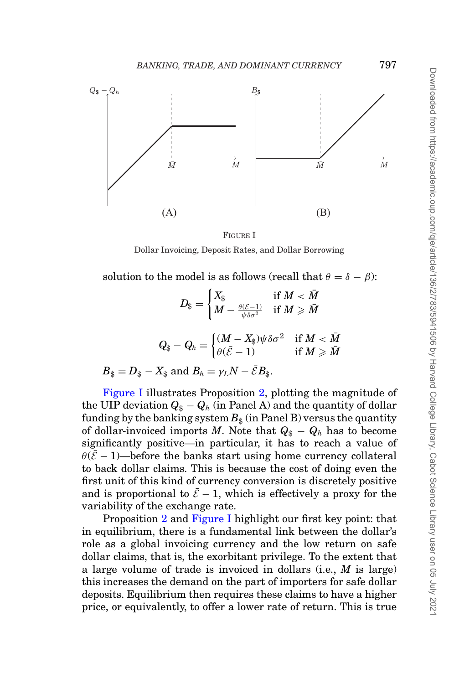<span id="page-14-0"></span>

FIGURE I Dollar Invoicing, Deposit Rates, and Dollar Borrowing

solution to the model is as follows (recall that  $\theta = \delta - \beta$ ):

$$
D_{\$}=\begin{cases} X_{\$} & \text{if } M<\bar{M} \\ M-\frac{\theta(\bar{\mathcal{E}}-1)}{\psi\delta\sigma^2} & \text{if } M\geqslant \bar{M} \end{cases}
$$

$$
Q_{\$}-Q_{h}=\begin{cases} (M-X_{\$})\psi\delta\sigma^{2} & \text{if } M<\bar{M} \\ \theta(\bar{\mathcal{E}}-1) & \text{if } M\geqslant \bar{M} \end{cases}
$$

 $B_{\$} = D_{\$} - X_{\$}$  and  $B_h = \gamma_L N - \mathcal{E} B_{\$}$ .

[Figure I](#page-14-0) illustrates Proposition [2,](#page-13-2) plotting the magnitude of the UIP deviation  $Q_{\$} - Q_{h}$  (in Panel A) and the quantity of dollar funding by the banking system  $B_8$  (in Panel B) versus the quantity of dollar-invoiced imports *M*. Note that  $Q_{\$} - Q_{h}$  has to become significantly positive—in particular, it has to reach a value of  $\theta(\bar{\mathcal{E}}-1)$ —before the banks start using home currency collateral to back dollar claims. This is because the cost of doing even the first unit of this kind of currency conversion is discretely positive and is proportional to  $\bar{\mathcal{E}}$  − 1, which is effectively a proxy for the variability of the exchange rate.

Proposition [2](#page-13-2) and [Figure I](#page-14-0) highlight our first key point: that in equilibrium, there is a fundamental link between the dollar's role as a global invoicing currency and the low return on safe dollar claims, that is, the exorbitant privilege. To the extent that a large volume of trade is invoiced in dollars (i.e., *M* is large) this increases the demand on the part of importers for safe dollar deposits. Equilibrium then requires these claims to have a higher price, or equivalently, to offer a lower rate of return. This is true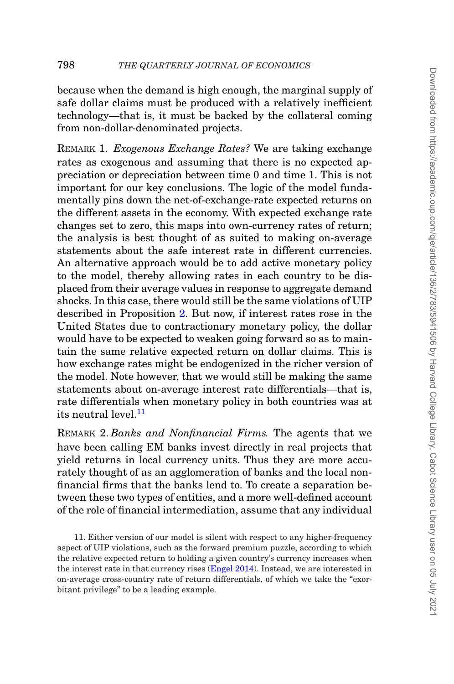because when the demand is high enough, the marginal supply of safe dollar claims must be produced with a relatively inefficient technology—that is, it must be backed by the collateral coming from non-dollar-denominated projects.

REMARK 1. *Exogenous Exchange Rates?* We are taking exchange rates as exogenous and assuming that there is no expected appreciation or depreciation between time 0 and time 1. This is not important for our key conclusions. The logic of the model fundamentally pins down the net-of-exchange-rate expected returns on the different assets in the economy. With expected exchange rate changes set to zero, this maps into own-currency rates of return; the analysis is best thought of as suited to making on-average statements about the safe interest rate in different currencies. An alternative approach would be to add active monetary policy to the model, thereby allowing rates in each country to be displaced from their average values in response to aggregate demand shocks. In this case, there would still be the same violations of UIP described in Proposition [2.](#page-13-2) But now, if interest rates rose in the United States due to contractionary monetary policy, the dollar would have to be expected to weaken going forward so as to maintain the same relative expected return on dollar claims. This is how exchange rates might be endogenized in the richer version of the model. Note however, that we would still be making the same statements about on-average interest rate differentials—that is, rate differentials when monetary policy in both countries was at its neutral level  $^{11}$  $^{11}$  $^{11}$ 

REMARK 2. *Banks and Nonfinancial Firms.* The agents that we have been calling EM banks invest directly in real projects that yield returns in local currency units. Thus they are more accurately thought of as an agglomeration of banks and the local nonfinancial firms that the banks lend to. To create a separation between these two types of entities, and a more well-defined account of the role of financial intermediation, assume that any individual

<span id="page-15-0"></span>11. Either version of our model is silent with respect to any higher-frequency aspect of UIP violations, such as the forward premium puzzle, according to which the relative expected return to holding a given country's currency increases when the interest rate in that currency rises [\(Engel 2014\)](#page-46-20). Instead, we are interested in on-average cross-country rate of return differentials, of which we take the "exorbitant privilege" to be a leading example.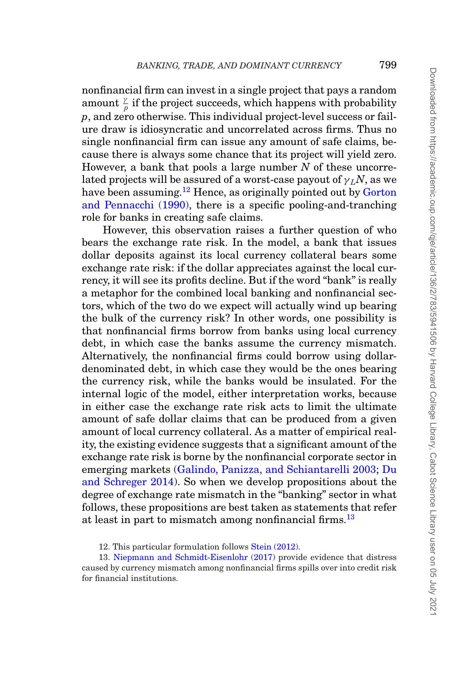nonfinancial firm can invest in a single project that pays a random amount  $\frac{\gamma}{p}$  if the project succeeds, which happens with probability *p*, and zero otherwise. This individual project-level success or failure draw is idiosyncratic and uncorrelated across firms. Thus no single nonfinancial firm can issue any amount of safe claims, because there is always some chance that its project will yield zero. However, a bank that pools a large number *N* of these uncorrelated projects will be assured of a worst-case payout of  $\gamma_l N$ , as we have been assuming.<sup>[12](#page-16-0)</sup> Hence, as originally pointed out by [Gorton](#page-46-21) [and Pennacchi \(1990\),](#page-46-21) there is a specific pooling-and-tranching role for banks in creating safe claims.

However, this observation raises a further question of who bears the exchange rate risk. In the model, a bank that issues dollar deposits against its local currency collateral bears some exchange rate risk: if the dollar appreciates against the local currency, it will see its profits decline. But if the word "bank" is really a metaphor for the combined local banking and nonfinancial sectors, which of the two do we expect will actually wind up bearing the bulk of the currency risk? In other words, one possibility is that nonfinancial firms borrow from banks using local currency debt, in which case the banks assume the currency mismatch. Alternatively, the nonfinancial firms could borrow using dollardenominated debt, in which case they would be the ones bearing the currency risk, while the banks would be insulated. For the internal logic of the model, either interpretation works, because in either case the exchange rate risk acts to limit the ultimate amount of safe dollar claims that can be produced from a given amount of local currency collateral. As a matter of empirical reality, the existing evidence suggests that a significant amount of the exchange rate risk is borne by the nonfinancial corporate sector in emerging markets [\(Galindo, Panizza, and Schiantarelli 2003;](#page-46-22) [Du](#page-46-4) [and Schreger 2014\)](#page-46-4). So when we develop propositions about the degree of exchange rate mismatch in the "banking" sector in what follows, these propositions are best taken as statements that refer at least in part to mismatch among nonfinancial firms.<sup>[13](#page-16-1)</sup>

<span id="page-16-1"></span><span id="page-16-0"></span><sup>12.</sup> This particular formulation follows [Stein \(2012\).](#page-47-9)

<sup>13.</sup> [Niepmann and Schmidt-Eisenlohr \(2017\)](#page-47-10) provide evidence that distress caused by currency mismatch among nonfinancial firms spills over into credit risk for financial institutions.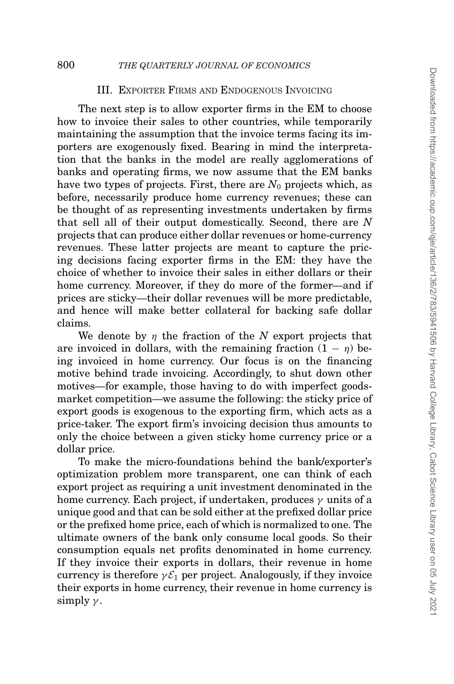# <span id="page-17-0"></span>III. EXPORTER FIRMS AND ENDOGENOUS INVOICING

The next step is to allow exporter firms in the EM to choose how to invoice their sales to other countries, while temporarily maintaining the assumption that the invoice terms facing its importers are exogenously fixed. Bearing in mind the interpretation that the banks in the model are really agglomerations of banks and operating firms, we now assume that the EM banks have two types of projects. First, there are  $N_0$  projects which, as before, necessarily produce home currency revenues; these can be thought of as representing investments undertaken by firms that sell all of their output domestically. Second, there are *N* projects that can produce either dollar revenues or home-currency revenues. These latter projects are meant to capture the pricing decisions facing exporter firms in the EM: they have the choice of whether to invoice their sales in either dollars or their home currency. Moreover, if they do more of the former—and if prices are sticky—their dollar revenues will be more predictable, and hence will make better collateral for backing safe dollar claims.

We denote by η the fraction of the *N* export projects that are invoiced in dollars, with the remaining fraction  $(1 - \eta)$  being invoiced in home currency. Our focus is on the financing motive behind trade invoicing. Accordingly, to shut down other motives—for example, those having to do with imperfect goodsmarket competition—we assume the following: the sticky price of export goods is exogenous to the exporting firm, which acts as a price-taker. The export firm's invoicing decision thus amounts to only the choice between a given sticky home currency price or a dollar price.

To make the micro-foundations behind the bank/exporter's optimization problem more transparent, one can think of each export project as requiring a unit investment denominated in the home currency. Each project, if undertaken, produces  $\gamma$  units of a unique good and that can be sold either at the prefixed dollar price or the prefixed home price, each of which is normalized to one. The ultimate owners of the bank only consume local goods. So their consumption equals net profits denominated in home currency. If they invoice their exports in dollars, their revenue in home currency is therefore  $\gamma \mathcal{E}_1$  per project. Analogously, if they invoice their exports in home currency, their revenue in home currency is simply  $\gamma$ .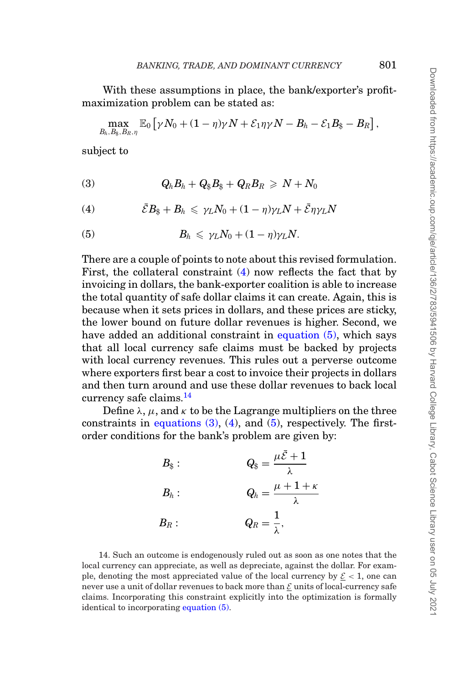With these assumptions in place, the bank/exporter's profitmaximization problem can be stated as:

$$
\max_{B_h,B_\$,B_R,\eta} \mathbb{E}_0\left[ \gamma N_0 + (1-\eta)\gamma N + \mathcal{E}_1 \eta \gamma N - B_h - \mathcal{E}_1 B_\$ - B_R \right],
$$

subject to

<span id="page-18-3"></span>
$$
(3) \hspace{1cm} Q_h B_h + Q_\$ B_\$ + Q_R B_R \geq N + N_0
$$

<span id="page-18-0"></span>
$$
(4) \hspace{1cm} \bar{\mathcal{E}}B_{\hat{\mathfrak{g}}}+B_{h} \leqslant \gamma_{L}N_{0}+(1-\eta)\gamma_{L}N+\bar{\mathcal{E}}\eta\gamma_{L}N
$$

<span id="page-18-1"></span>(5) 
$$
B_h \leq \gamma_L N_0 + (1 - \eta) \gamma_L N.
$$

There are a couple of points to note about this revised formulation. First, the collateral constraint [\(4\)](#page-18-0) now reflects the fact that by invoicing in dollars, the bank-exporter coalition is able to increase the total quantity of safe dollar claims it can create. Again, this is because when it sets prices in dollars, and these prices are sticky, the lower bound on future dollar revenues is higher. Second, we have added an additional constraint in [equation \(5\),](#page-18-1) which says that all local currency safe claims must be backed by projects with local currency revenues. This rules out a perverse outcome where exporters first bear a cost to invoice their projects in dollars and then turn around and use these dollar revenues to back local currency safe claims.<sup>[14](#page-18-2)</sup>

Define  $\lambda$ ,  $\mu$ , and  $\kappa$  to be the Lagrange multipliers on the three constraints in equations  $(3)$ ,  $(4)$ , and  $(5)$ , respectively. The firstorder conditions for the bank's problem are given by:

| $B_{\$}$ : | $Q_\$ = \frac{\mu \bar{\mathcal{E}} + 1}{\lambda}$ |
|------------|----------------------------------------------------|
| $B_h$ :    | $Q_h = \frac{\mu+1+\kappa}{\lambda}$               |
| $B_R:$     | $Q_R=\frac{1}{\lambda},$                           |

<span id="page-18-2"></span>14. Such an outcome is endogenously ruled out as soon as one notes that the local currency can appreciate, as well as depreciate, against the dollar. For example, denoting the most appreciated value of the local currency by  $\mathcal{E} < 1$ , one can never use a unit of dollar revenues to back more than  $\mathcal E$  units of local-currency safe claims. Incorporating this constraint explicitly into the optimization is formally identical to incorporating [equation \(5\).](#page-18-1)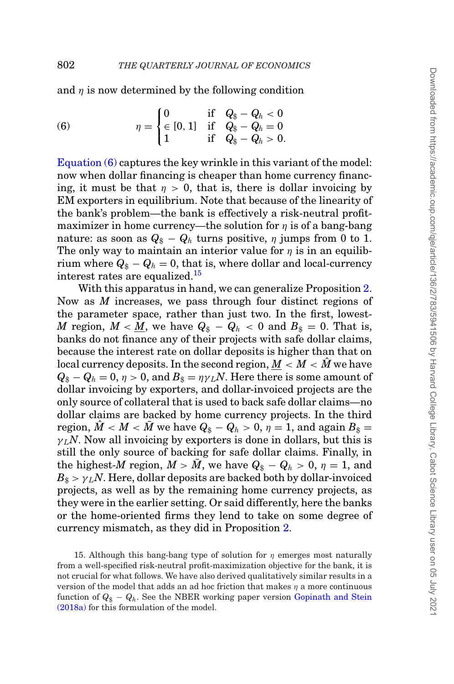and  $\eta$  is now determined by the following condition

<span id="page-19-0"></span>(6) 
$$
\eta = \begin{cases} 0 & \text{if } Q_{\$} - Q_{h} < 0 \\ \in [0, 1] & \text{if } Q_{\$} - Q_{h} = 0 \\ 1 & \text{if } Q_{\$} - Q_{h} > 0. \end{cases}
$$

Equation  $(6)$  captures the key wrinkle in this variant of the model: now when dollar financing is cheaper than home currency financing, it must be that  $\eta > 0$ , that is, there is dollar invoicing by EM exporters in equilibrium. Note that because of the linearity of the bank's problem—the bank is effectively a risk-neutral profitmaximizer in home currency—the solution for  $\eta$  is of a bang-bang nature: as soon as  $Q_{\$} - Q_{h}$  turns positive,  $\eta$  jumps from 0 to 1. The only way to maintain an interior value for  $\eta$  is in an equilibrium where  $Q_{\$} - Q_h = 0$ , that is, where dollar and local-currency interest rates are equalized.<sup>[15](#page-19-1)</sup>

With this apparatus in hand, we can generalize Proposition [2.](#page-13-2) Now as *M* increases, we pass through four distinct regions of the parameter space, rather than just two. In the first, lowest-*M* region,  $M < \underline{M}$ , we have  $Q_{\$} - Q_h < 0$  and  $B_{\$} = 0$ . That is, banks do not finance any of their projects with safe dollar claims, because the interest rate on dollar deposits is higher than that on local currency deposits. In the second region,  $M < M < M$  we have  $Q_{\$} - Q_{h} = 0$ ,  $\eta > 0$ , and  $B_{\$} = \eta \gamma_L N$ . Here there is some amount of dollar invoicing by exporters, and dollar-invoiced projects are the only source of collateral that is used to back safe dollar claims—no dollar claims are backed by home currency projects. In the third region,  $\hat{M} < M < \bar{M}$  we have  $Q_{\$} - Q_h > 0$ ,  $\eta = 1$ , and again  $B_{\$} =$  $\gamma_L N$ . Now all invoicing by exporters is done in dollars, but this is still the only source of backing for safe dollar claims. Finally, in the highest-*M* region,  $M > \overline{M}$ , we have  $Q_{\$} - Q_{h} > 0$ ,  $\eta = 1$ , and  $B_{\$} > \gamma_L N$ . Here, dollar deposits are backed both by dollar-invoiced projects, as well as by the remaining home currency projects, as they were in the earlier setting. Or said differently, here the banks or the home-oriented firms they lend to take on some degree of currency mismatch, as they did in Proposition [2.](#page-13-2)

<span id="page-19-1"></span><sup>15.</sup> Although this bang-bang type of solution for  $\eta$  emerges most naturally from a well-specified risk-neutral profit-maximization objective for the bank, it is not crucial for what follows. We have also derived qualitatively similar results in a version of the model that adds an ad hoc friction that makes  $\eta$  a more continuous function of  $Q_{\$} - Q_h$ . See the NBER working paper version [Gopinath and Stein](#page-46-23) [\(2018a\)](#page-46-23) for this formulation of the model.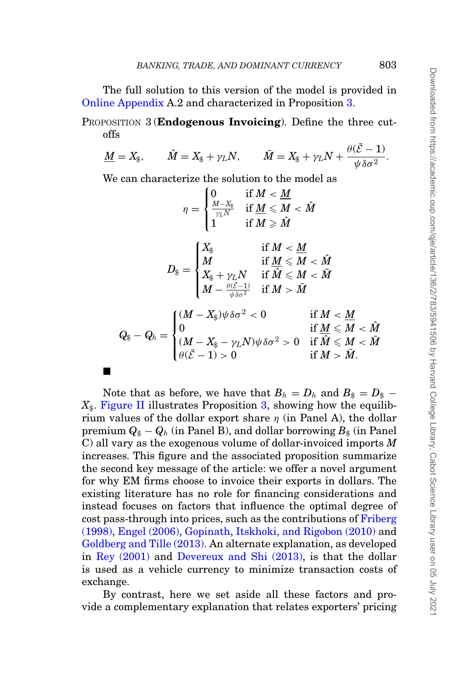The full solution to this version of the model is provided in [Online Appendix](file:qje.oxfordjournals.org) A.2 and characterized in Proposition [3.](#page-20-0)

<span id="page-20-0"></span>PROPOSITION 3 (**Endogenous Invoicing**). Define the three cutoffs

$$
\underline{M} = X_{\$}, \qquad \hat{M} = X_{\$} + \gamma_L N, \qquad \bar{M} = X_{\$} + \gamma_L N + \frac{\theta(\bar{\mathcal{E}} - 1)}{\psi \delta \sigma^2}.
$$

We can characterize the solution to the model as

 $\blacksquare$ 

$$
\eta = \begin{cases} 0 & \text{if } M < \underline{M} \\ \frac{M-X_{\S}}{\gamma_L N} & \text{if } \underline{M} \leqslant M < \hat{M} \\ 1 & \text{if } M \geqslant \hat{M} \end{cases}
$$

$$
D_{\S} = \begin{cases} X_{\S} & \text{if } M < \underline{M} \\ M & \text{if } \underline{M} \leqslant M < \hat{M} \\ X_{\S} + \gamma_L N & \text{if } \hat{M} \leqslant M < \hat{M} \\ M - \frac{\theta(\bar{\mathcal{E}}-1)}{\psi \delta \sigma^2} & \text{if } M > \bar{M} \end{cases}
$$

$$
Q_{\S} - Q_h = \begin{cases} (M - X_{\S})\psi \delta \sigma^2 < 0 & \text{if } M < \underline{M} \\ 0 & \text{if } \underline{M} \leqslant M < \hat{M} \\ (\underline{M} - X_{\S} - \gamma_L N)\psi \delta \sigma^2 > 0 & \text{if } \hat{M} \leqslant M < \hat{M} \\ \theta(\bar{\mathcal{E}} - 1) > 0 & \text{if } M > \bar{M}. \end{cases}
$$

Note that as before, we have that  $B_h = D_h$  and  $B_s = D_s$  –  $X_{\$}$ . [Figure II](#page-21-0) illustrates Proposition [3,](#page-20-0) showing how the equilibrium values of the dollar export share  $\eta$  (in Panel A), the dollar premium  $Q_{\$} - Q_h$  (in Panel B), and dollar borrowing  $B_{\$}$  (in Panel C) all vary as the exogenous volume of dollar-invoiced imports *M* increases. This figure and the associated proposition summarize the second key message of the article: we offer a novel argument for why EM firms choose to invoice their exports in dollars. The existing literature has no role for financing considerations and instead focuses on factors that influence the optimal degree of cost pass-through into prices, such as the contributions of [Friberg](#page-46-8) [\(1998\),](#page-46-8) [Engel \(2006\),](#page-46-9) [Gopinath, Itskhoki, and Rigobon \(2010\)](#page-46-10) and [Goldberg and Tille \(2013\).](#page-46-11) An alternate explanation, as developed in [Rey \(2001\)](#page-47-8) and [Devereux and Shi \(2013\),](#page-46-17) is that the dollar is used as a vehicle currency to minimize transaction costs of exchange.

By contrast, here we set aside all these factors and provide a complementary explanation that relates exporters' pricing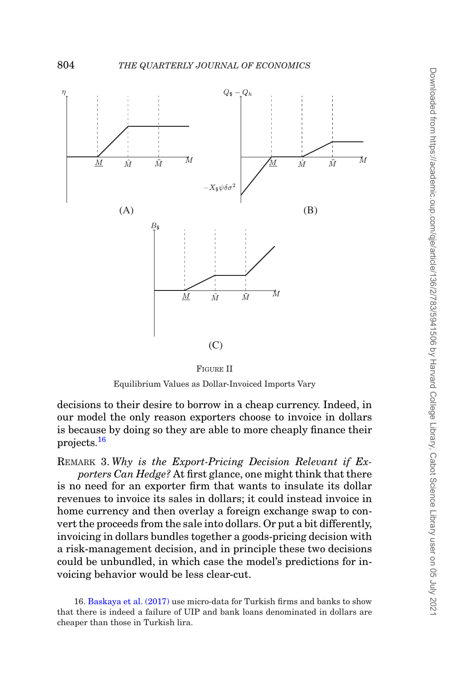<span id="page-21-0"></span>

FIGURE II

Equilibrium Values as Dollar-Invoiced Imports Vary

decisions to their desire to borrow in a cheap currency. Indeed, in our model the only reason exporters choose to invoice in dollars is because by doing so they are able to more cheaply finance their projects.[16](#page-21-1)

REMARK 3. *Why is the Export-Pricing Decision Relevant if Exporters Can Hedge?* At first glance, one might think that there is no need for an exporter firm that wants to insulate its dollar revenues to invoice its sales in dollars; it could instead invoice in home currency and then overlay a foreign exchange swap to convert the proceeds from the sale into dollars. Or put a bit differently, invoicing in dollars bundles together a goods-pricing decision with a risk-management decision, and in principle these two decisions could be unbundled, in which case the model's predictions for invoicing behavior would be less clear-cut.

<span id="page-21-1"></span>16. [Baskaya et al. \(2017\)](#page-45-1) use micro-data for Turkish firms and banks to show that there is indeed a failure of UIP and bank loans denominated in dollars are cheaper than those in Turkish lira.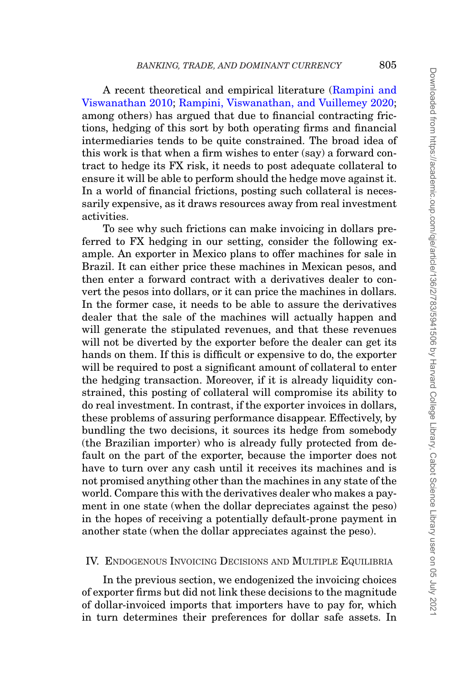A recent theoretical and empirical literature [\(Rampini and](#page-47-11) [Viswanathan 2010;](#page-47-11) [Rampini, Viswanathan, and Vuillemey 2020;](#page-47-12) among others) has argued that due to financial contracting frictions, hedging of this sort by both operating firms and financial intermediaries tends to be quite constrained. The broad idea of this work is that when a firm wishes to enter (say) a forward contract to hedge its FX risk, it needs to post adequate collateral to ensure it will be able to perform should the hedge move against it. In a world of financial frictions, posting such collateral is necessarily expensive, as it draws resources away from real investment activities.

To see why such frictions can make invoicing in dollars preferred to FX hedging in our setting, consider the following example. An exporter in Mexico plans to offer machines for sale in Brazil. It can either price these machines in Mexican pesos, and then enter a forward contract with a derivatives dealer to convert the pesos into dollars, or it can price the machines in dollars. In the former case, it needs to be able to assure the derivatives dealer that the sale of the machines will actually happen and will generate the stipulated revenues, and that these revenues will not be diverted by the exporter before the dealer can get its hands on them. If this is difficult or expensive to do, the exporter will be required to post a significant amount of collateral to enter the hedging transaction. Moreover, if it is already liquidity constrained, this posting of collateral will compromise its ability to do real investment. In contrast, if the exporter invoices in dollars, these problems of assuring performance disappear. Effectively, by bundling the two decisions, it sources its hedge from somebody (the Brazilian importer) who is already fully protected from default on the part of the exporter, because the importer does not have to turn over any cash until it receives its machines and is not promised anything other than the machines in any state of the world. Compare this with the derivatives dealer who makes a payment in one state (when the dollar depreciates against the peso) in the hopes of receiving a potentially default-prone payment in another state (when the dollar appreciates against the peso).

## <span id="page-22-0"></span>IV. ENDOGENOUS INVOICING DECISIONS AND MULTIPLE EQUILIBRIA

In the previous section, we endogenized the invoicing choices of exporter firms but did not link these decisions to the magnitude of dollar-invoiced imports that importers have to pay for, which in turn determines their preferences for dollar safe assets. In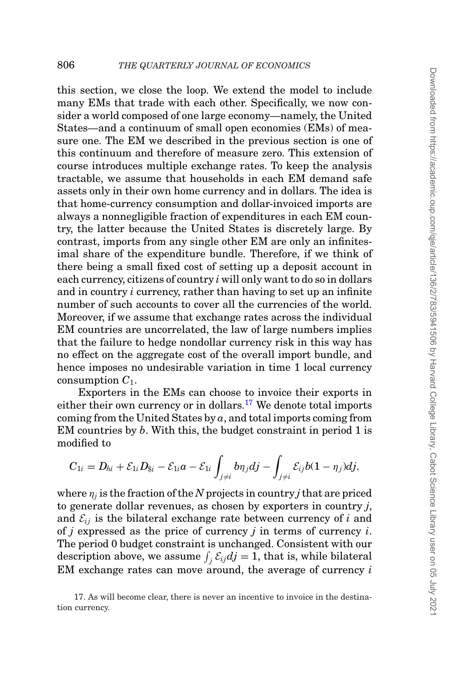this section, we close the loop. We extend the model to include many EMs that trade with each other. Specifically, we now consider a world composed of one large economy—namely, the United States—and a continuum of small open economies (EMs) of measure one. The EM we described in the previous section is one of this continuum and therefore of measure zero. This extension of course introduces multiple exchange rates. To keep the analysis tractable, we assume that households in each EM demand safe assets only in their own home currency and in dollars. The idea is that home-currency consumption and dollar-invoiced imports are always a nonnegligible fraction of expenditures in each EM country, the latter because the United States is discretely large. By contrast, imports from any single other EM are only an infinitesimal share of the expenditure bundle. Therefore, if we think of there being a small fixed cost of setting up a deposit account in each currency, citizens of country *i* will only want to do so in dollars and in country *i* currency, rather than having to set up an infinite number of such accounts to cover all the currencies of the world. Moreover, if we assume that exchange rates across the individual EM countries are uncorrelated, the law of large numbers implies that the failure to hedge nondollar currency risk in this way has no effect on the aggregate cost of the overall import bundle, and hence imposes no undesirable variation in time 1 local currency consumption *C*1.

Exporters in the EMs can choose to invoice their exports in either their own currency or in dollars.<sup>[17](#page-23-0)</sup> We denote total imports coming from the United States by *a*, and total imports coming from EM countries by *b*. With this, the budget constraint in period 1 is modified to

$$
C_{1i}=D_{hi}+\mathcal{E}_{1i}D_{\$i}-\mathcal{E}_{1i}a-\mathcal{E}_{1i}\int_{j\neq i}b\eta_jdj-\int_{j\neq i}\mathcal{E}_{ij}b(1-\eta_j)dj,
$$

where  $\eta_i$  is the fraction of the *N* projects in country *j* that are priced to generate dollar revenues, as chosen by exporters in country *j*, and  $\mathcal{E}_{ii}$  is the bilateral exchange rate between currency of  $i$  and of *j* expressed as the price of currency *j* in terms of currency *i*. The period 0 budget constraint is unchanged. Consistent with our description above, we assume  $\int_j \mathcal{E}_{ij} dj = 1$ , that is, while bilateral EM exchange rates can move around, the average of currency *i*

<span id="page-23-0"></span><sup>17.</sup> As will become clear, there is never an incentive to invoice in the destination currency.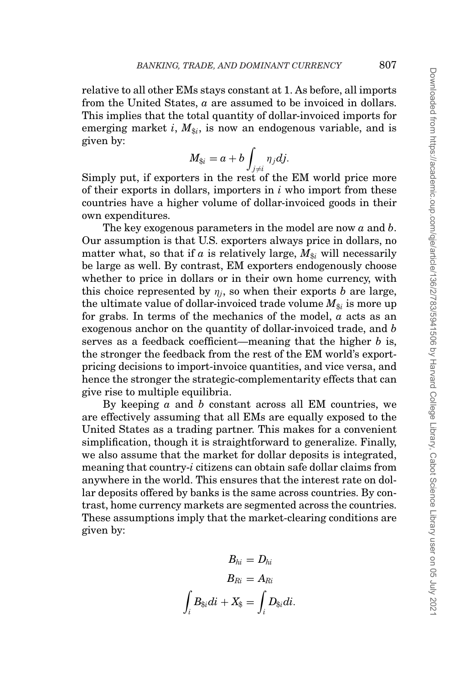relative to all other EMs stays constant at 1. As before, all imports from the United States, *a* are assumed to be invoiced in dollars. This implies that the total quantity of dollar-invoiced imports for emerging market *i*,  $M_{\hat{s}}$ , is now an endogenous variable, and is given by:

$$
M_{\$i}=a+b\int_{j\neq i}\eta_jdj.
$$

Simply put, if exporters in the rest of the EM world price more of their exports in dollars, importers in *i* who import from these countries have a higher volume of dollar-invoiced goods in their own expenditures.

The key exogenous parameters in the model are now *a* and *b*. Our assumption is that U.S. exporters always price in dollars, no matter what, so that if *a* is relatively large,  $M_{\text{si}}$  will necessarily be large as well. By contrast, EM exporters endogenously choose whether to price in dollars or in their own home currency, with this choice represented by  $\eta_i$ , so when their exports *b* are large, the ultimate value of dollar-invoiced trade volume  $M_{\text{fsi}}$  is more up for grabs. In terms of the mechanics of the model, *a* acts as an exogenous anchor on the quantity of dollar-invoiced trade, and *b* serves as a feedback coefficient—meaning that the higher *b* is, the stronger the feedback from the rest of the EM world's exportpricing decisions to import-invoice quantities, and vice versa, and hence the stronger the strategic-complementarity effects that can give rise to multiple equilibria.

By keeping *a* and *b* constant across all EM countries, we are effectively assuming that all EMs are equally exposed to the United States as a trading partner. This makes for a convenient simplification, though it is straightforward to generalize. Finally, we also assume that the market for dollar deposits is integrated, meaning that country-*i* citizens can obtain safe dollar claims from anywhere in the world. This ensures that the interest rate on dollar deposits offered by banks is the same across countries. By contrast, home currency markets are segmented across the countries. These assumptions imply that the market-clearing conditions are given by:

$$
B_{hi}=D_{hi}\\ B_{Ri}=A_{Ri}\\ \int_i B_{\$i}di+X_{\$}=\int_i D_{\$i}di.
$$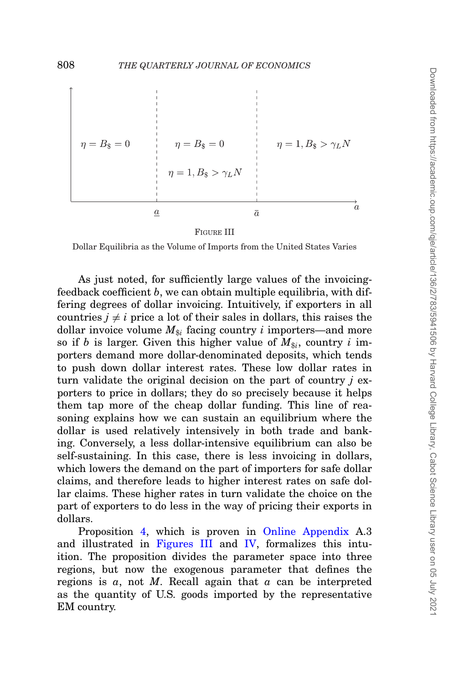<span id="page-25-0"></span>

FIGURE III

Dollar Equilibria as the Volume of Imports from the United States Varies

As just noted, for sufficiently large values of the invoicingfeedback coefficient *b*, we can obtain multiple equilibria, with differing degrees of dollar invoicing. Intuitively, if exporters in all countries  $j \neq i$  price a lot of their sales in dollars, this raises the dollar invoice volume  $M_{\hat{s}i}$  facing country *i* importers—and more so if *b* is larger. Given this higher value of  $M_{\text{Si}}$ , country *i* importers demand more dollar-denominated deposits, which tends to push down dollar interest rates. These low dollar rates in turn validate the original decision on the part of country *j* exporters to price in dollars; they do so precisely because it helps them tap more of the cheap dollar funding. This line of reasoning explains how we can sustain an equilibrium where the dollar is used relatively intensively in both trade and banking. Conversely, a less dollar-intensive equilibrium can also be self-sustaining. In this case, there is less invoicing in dollars, which lowers the demand on the part of importers for safe dollar claims, and therefore leads to higher interest rates on safe dollar claims. These higher rates in turn validate the choice on the part of exporters to do less in the way of pricing their exports in dollars.

Proposition [4,](#page-26-0) which is proven in [Online Appendix](file:qje.oxfordjournals.org) A.3 and illustrated in [Figures III](#page-25-0) and [IV,](#page-26-1) formalizes this intuition. The proposition divides the parameter space into three regions, but now the exogenous parameter that defines the regions is *a*, not *M*. Recall again that *a* can be interpreted as the quantity of U.S. goods imported by the representative EM country.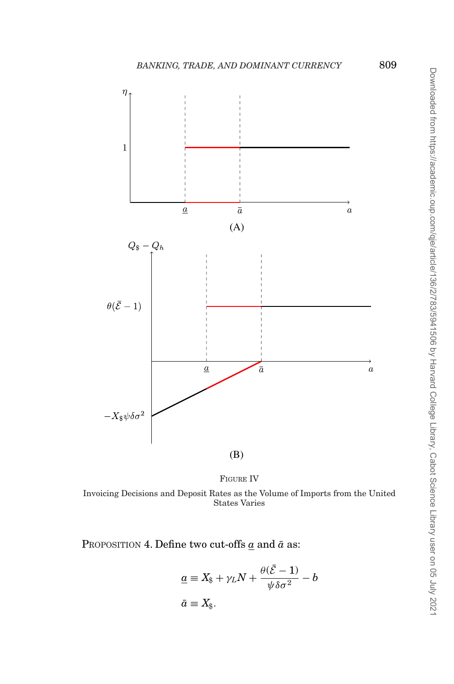<span id="page-26-1"></span>



Invoicing Decisions and Deposit Rates as the Volume of Imports from the United States Varies

<span id="page-26-0"></span>PROPOSITION 4. Define two cut-offs  $\underline{a}$  and  $\overline{a}$  as:

$$
\underline{a} \equiv X_{\$} + \gamma_L N + \frac{\theta(\bar{\mathcal{E}} - 1)}{\psi \delta \sigma^2} - b
$$
  

$$
\bar{a} \equiv X_{\$}.
$$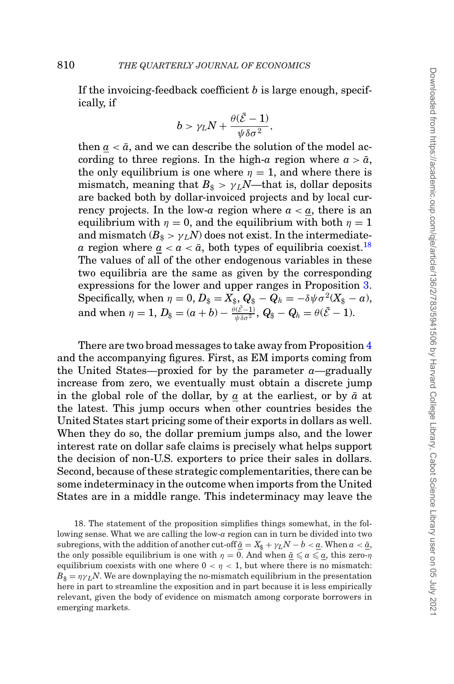If the invoicing-feedback coefficient *b* is large enough, specifically, if

$$
b>\gamma_L N+\frac{\theta(\bar{\mathcal{E}}-1)}{\psi\delta\sigma^2},
$$

then  $a < \bar{a}$ , and we can describe the solution of the model according to three regions. In the high-*a* region where  $a > \bar{a}$ , the only equilibrium is one where  $\eta = 1$ , and where there is mismatch, meaning that  $B_{\text{s}} > \gamma_L N$ —that is, dollar deposits are backed both by dollar-invoiced projects and by local currency projects. In the low-*a* region where  $a < a$ , there is an equilibrium with  $\eta = 0$ , and the equilibrium with both  $\eta = 1$ and mismatch  $(B_{\text{A}} > \gamma_L N)$  does not exist. In the intermediate*a* region where  $a < a < \bar{a}$ , both types of equilibria coexist.<sup>18</sup> The values of all of the other endogenous variables in these two equilibria are the same as given by the corresponding expressions for the lower and upper ranges in Proposition [3.](#page-20-0) Specifically, when  $\eta = 0$ ,  $D_{\$} = X_{\$}$ ,  $Q_{\$} - Q_h = -\delta \psi \sigma^2 (X_{\$} - a)$ , and when  $\eta = 1$ ,  $D_{\$} = (a + b) - \frac{\theta(\bar{\mathcal{E}}-1)}{\psi \delta \sigma^2}$ ,  $Q_{\$} - Q_h = \theta(\bar{\mathcal{E}}-1)$ .

There are two broad messages to take away from Proposition [4](#page-26-0) and the accompanying figures. First, as EM imports coming from the United States—proxied for by the parameter *a*—gradually increase from zero, we eventually must obtain a discrete jump in the global role of the dollar, by  $a$  at the earliest, or by  $\bar{a}$  at the latest. This jump occurs when other countries besides the United States start pricing some of their exports in dollars as well. When they do so, the dollar premium jumps also, and the lower interest rate on dollar safe claims is precisely what helps support the decision of non-U.S. exporters to price their sales in dollars. Second, because of these strategic complementarities, there can be some indeterminacy in the outcome when imports from the United States are in a middle range. This indeterminacy may leave the

<span id="page-27-0"></span>18. The statement of the proposition simplifies things somewhat, in the following sense. What we are calling the low-*a* region can in turn be divided into two subregions, with the addition of another cut-off  $\tilde{a} = X_{\hat{s}} + \gamma_L N - b < \underline{a}$ . When  $a < \tilde{a}$ , the only possible equilibrium is one with  $\eta = 0$ . And when  $\tilde{a} \leq a \leq a$ , this zero- $\eta$ equilibrium coexists with one where  $0 < \eta < 1$ , but where there is no mismatch:  $B_{\rm s} = \eta \gamma I N$ . We are downplaying the no-mismatch equilibrium in the presentation here in part to streamline the exposition and in part because it is less empirically relevant, given the body of evidence on mismatch among corporate borrowers in emerging markets.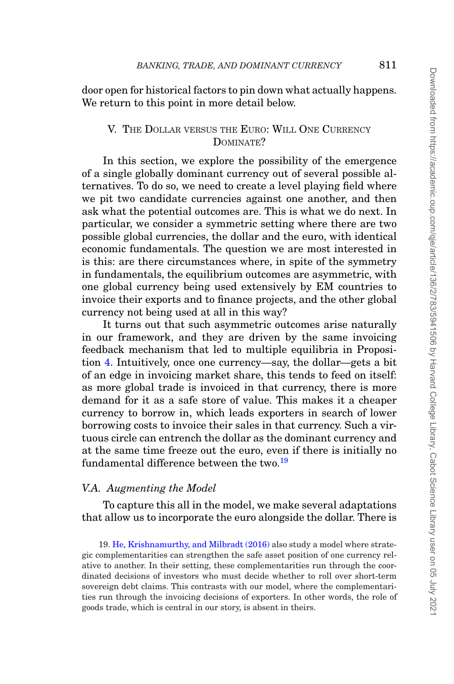door open for historical factors to pin down what actually happens. We return to this point in more detail below.

# <span id="page-28-0"></span>V. THE DOLLAR VERSUS THE EURO: WILL ONE CURRENCY DOMINATE?

In this section, we explore the possibility of the emergence of a single globally dominant currency out of several possible alternatives. To do so, we need to create a level playing field where we pit two candidate currencies against one another, and then ask what the potential outcomes are. This is what we do next. In particular, we consider a symmetric setting where there are two possible global currencies, the dollar and the euro, with identical economic fundamentals. The question we are most interested in is this: are there circumstances where, in spite of the symmetry in fundamentals, the equilibrium outcomes are asymmetric, with one global currency being used extensively by EM countries to invoice their exports and to finance projects, and the other global currency not being used at all in this way?

It turns out that such asymmetric outcomes arise naturally in our framework, and they are driven by the same invoicing feedback mechanism that led to multiple equilibria in Proposition [4.](#page-26-0) Intuitively, once one currency—say, the dollar—gets a bit of an edge in invoicing market share, this tends to feed on itself: as more global trade is invoiced in that currency, there is more demand for it as a safe store of value. This makes it a cheaper currency to borrow in, which leads exporters in search of lower borrowing costs to invoice their sales in that currency. Such a virtuous circle can entrench the dollar as the dominant currency and at the same time freeze out the euro, even if there is initially no fundamental difference between the two.<sup>[19](#page-28-1)</sup>

# *V.A. Augmenting the Model*

To capture this all in the model, we make several adaptations that allow us to incorporate the euro alongside the dollar. There is

<span id="page-28-1"></span>19. [He, Krishnamurthy, and Milbradt \(2016\)](#page-47-5) also study a model where strategic complementarities can strengthen the safe asset position of one currency relative to another. In their setting, these complementarities run through the coordinated decisions of investors who must decide whether to roll over short-term sovereign debt claims. This contrasts with our model, where the complementarities run through the invoicing decisions of exporters. In other words, the role of goods trade, which is central in our story, is absent in theirs.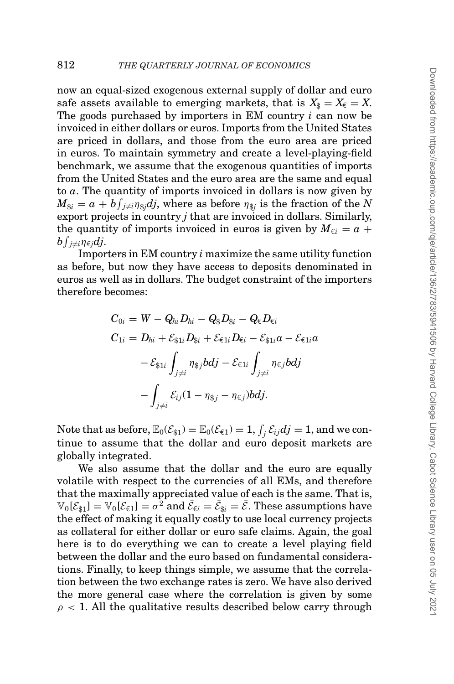now an equal-sized exogenous external supply of dollar and euro safe assets available to emerging markets, that is  $X_{\hat{s}} = X_{\hat{\epsilon}} = X$ . The goods purchased by importers in EM country *i* can now be invoiced in either dollars or euros. Imports from the United States are priced in dollars, and those from the euro area are priced in euros. To maintain symmetry and create a level-playing-field benchmark, we assume that the exogenous quantities of imports from the United States and the euro area are the same and equal to *a*. The quantity of imports invoiced in dollars is now given by  $M_{\$i} = a + b \int_{j \neq i} \eta_{\$j} dj$ , where as before  $\eta_{\$j}$  is the fraction of the *N* export projects in country *j* that are invoiced in dollars. Similarly, the quantity of imports invoiced in euros is given by  $M_{\epsilon i} = a +$  $\partial \int_{j\neq i} \eta_{\in j}dj.$ 

Importers in EM country *i* maximize the same utility function as before, but now they have access to deposits denominated in euros as well as in dollars. The budget constraint of the importers therefore becomes:

$$
C_{0i} = W - Q_{hi}D_{hi} - Q_{\$}D_{\$i} - Q_{\epsilon}D_{\epsilon i}
$$
  
\n
$$
C_{1i} = D_{hi} + \mathcal{E}_{\$1i}D_{\$i} + \mathcal{E}_{\epsilon 1i}D_{\epsilon i} - \mathcal{E}_{\$1i}a - \mathcal{E}_{\epsilon 1i}a
$$
  
\n
$$
- \mathcal{E}_{\$1i} \int_{j \neq i} \eta_{\$j} b d j - \mathcal{E}_{\epsilon 1i} \int_{j \neq i} \eta_{\epsilon j} b d j
$$
  
\n
$$
- \int_{j \neq i} \mathcal{E}_{ij} (1 - \eta_{\$j} - \eta_{\epsilon j}) b d j.
$$

Note that as before,  $\mathbb{E}_0(\mathcal{E}_{\$1}) = \mathbb{E}_0(\mathcal{E}_{\$1}) = 1$ ,  $\int_j \mathcal{E}_{ij}dj = 1$ , and we continue to assume that the dollar and euro deposit markets are globally integrated.

We also assume that the dollar and the euro are equally volatile with respect to the currencies of all EMs, and therefore that the maximally appreciated value of each is the same. That is,  $\mathbb{V}_0[\mathcal{E}_{\$1}] = \mathbb{V}_0[\mathcal{E}_{\epsilon 1}] = \sigma^2$  and  $\bar{\mathcal{E}}_{\epsilon i} = \bar{\mathcal{E}}_{\$i} = \bar{\mathcal{E}}$ . These assumptions have the effect of making it equally costly to use local currency projects as collateral for either dollar or euro safe claims. Again, the goal here is to do everything we can to create a level playing field between the dollar and the euro based on fundamental considerations. Finally, to keep things simple, we assume that the correlation between the two exchange rates is zero. We have also derived the more general case where the correlation is given by some  $\rho$  < 1. All the qualitative results described below carry through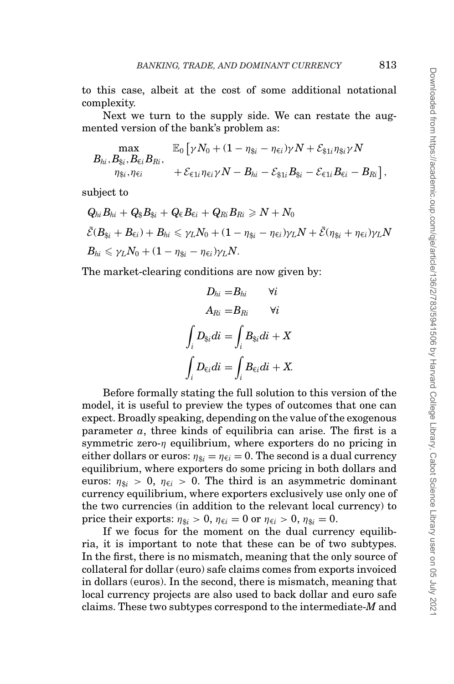to this case, albeit at the cost of some additional notational complexity.

Next we turn to the supply side. We can restate the augmented version of the bank's problem as:

$$
B_{hi}, B_{\$i}, B_{\epsilon i}B_{Ri},
$$
  
\n
$$
B_{hi}, B_{\$i}, B_{\epsilon i}B_{Ri},
$$
  
\n
$$
\mathcal{E}_{\epsilon 1i} \eta_{\epsilon i} \gamma N - B_{hi} - \varepsilon_{\$1i}B_{\$i} - \varepsilon_{\epsilon 1i}B_{\epsilon i} - B_{Ri} \rceil,
$$

subject to

$$
Q_{hi}B_{hi} + Q_{\$}B_{\$i} + Q_{\epsilon}B_{\epsilon i} + Q_{Ri}B_{Ri} \ge N + N_0
$$
  

$$
\bar{\mathcal{E}}(B_{\$i} + B_{\epsilon i}) + B_{hi} \le \gamma_L N_0 + (1 - \eta_{\$i} - \eta_{\epsilon i})\gamma_L N + \bar{\mathcal{E}}(\eta_{\$i} + \eta_{\epsilon i})\gamma_L N
$$
  

$$
B_{hi} \le \gamma_L N_0 + (1 - \eta_{\$i} - \eta_{\epsilon i})\gamma_L N.
$$

The market-clearing conditions are now given by:

$$
D_{hi} = B_{hi} \qquad \forall i
$$

$$
A_{Ri} = B_{Ri} \qquad \forall i
$$

$$
\int_i D_{\$i} di = \int_i B_{\$i} di + X
$$

$$
\int_i D_{\epsilon i} di = \int_i B_{\epsilon i} di + X.
$$

Before formally stating the full solution to this version of the model, it is useful to preview the types of outcomes that one can expect. Broadly speaking, depending on the value of the exogenous parameter *a*, three kinds of equilibria can arise. The first is a symmetric zero- $\eta$  equilibrium, where exporters do no pricing in either dollars or euros:  $\eta_{\text{si}} = \eta_{\text{f}i} = 0$ . The second is a dual currency equilibrium, where exporters do some pricing in both dollars and euros:  $\eta_{\text{fs}} > 0$ ,  $\eta_{\text{fi}} > 0$ . The third is an asymmetric dominant currency equilibrium, where exporters exclusively use only one of the two currencies (in addition to the relevant local currency) to price their exports:  $\eta_{\hat{s}i} > 0$ ,  $\eta_{\hat{\epsilon}i} = 0$  or  $\eta_{\hat{\epsilon}i} > 0$ ,  $\eta_{\hat{s}i} = 0$ .

If we focus for the moment on the dual currency equilibria, it is important to note that these can be of two subtypes. In the first, there is no mismatch, meaning that the only source of collateral for dollar (euro) safe claims comes from exports invoiced in dollars (euros). In the second, there is mismatch, meaning that local currency projects are also used to back dollar and euro safe claims. These two subtypes correspond to the intermediate-*M* and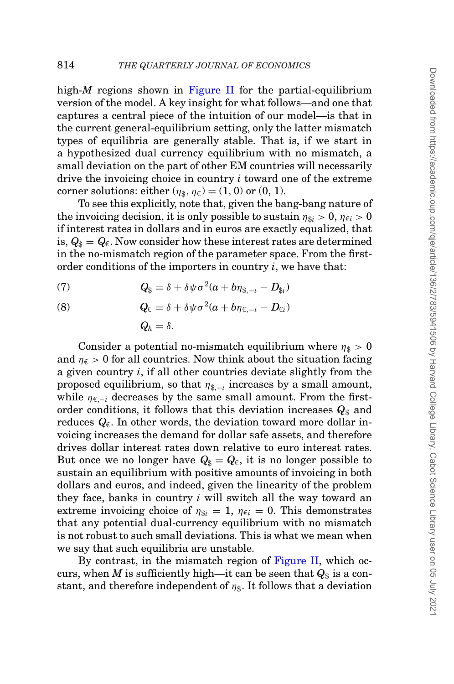high-*M* regions shown in [Figure II](#page-21-0) for the partial-equilibrium version of the model. A key insight for what follows—and one that captures a central piece of the intuition of our model—is that in the current general-equilibrium setting, only the latter mismatch types of equilibria are generally stable. That is, if we start in a hypothesized dual currency equilibrium with no mismatch, a small deviation on the part of other EM countries will necessarily drive the invoicing choice in country *i* toward one of the extreme corner solutions: either  $(\eta_{\hat{s}}, \eta_{\hat{\epsilon}}) = (1, 0)$  or  $(0, 1)$ .

To see this explicitly, note that, given the bang-bang nature of the invoicing decision, it is only possible to sustain  $\eta_{\hat{x}i} > 0$ ,  $\eta_{\hat{\epsilon}i} > 0$ if interest rates in dollars and in euros are exactly equalized, that is,  $Q_{\$} = Q_{\epsilon}$ . Now consider how these interest rates are determined in the no-mismatch region of the parameter space. From the firstorder conditions of the importers in country *i*, we have that:

(7) 
$$
Q_{\$} = \delta + \delta \psi \sigma^2 (a + b \eta_{\$,-i} - D_{\$i})
$$

(8) 
$$
Q_{\epsilon} = \delta + \delta \psi \sigma^{2} (a + b \eta_{\epsilon, -i} - D_{\epsilon i})
$$

$$
Q_{h} = \delta.
$$

Consider a potential no-mismatch equilibrium where  $\eta_{\rm s} > 0$ and  $\eta_{\epsilon} > 0$  for all countries. Now think about the situation facing a given country *i*, if all other countries deviate slightly from the proposed equilibrium, so that  $\eta_{\$,-i}$  increases by a small amount, while  $\eta_{\epsilon-i}$  decreases by the same small amount. From the firstorder conditions, it follows that this deviation increases  $Q_{\$}$  and reduces  $Q_{\epsilon}$ . In other words, the deviation toward more dollar invoicing increases the demand for dollar safe assets, and therefore drives dollar interest rates down relative to euro interest rates. But once we no longer have  $Q_{\$} = Q_{\epsilon}$ , it is no longer possible to sustain an equilibrium with positive amounts of invoicing in both dollars and euros, and indeed, given the linearity of the problem they face, banks in country *i* will switch all the way toward an extreme invoicing choice of  $\eta_{\hat{x}i} = 1$ ,  $\eta_{\hat{\epsilon}i} = 0$ . This demonstrates that any potential dual-currency equilibrium with no mismatch is not robust to such small deviations. This is what we mean when we say that such equilibria are unstable.

By contrast, in the mismatch region of [Figure II,](#page-21-0) which occurs, when *M* is sufficiently high—it can be seen that  $Q_{\$}$  is a constant, and therefore independent of  $\eta_{\$}$ . It follows that a deviation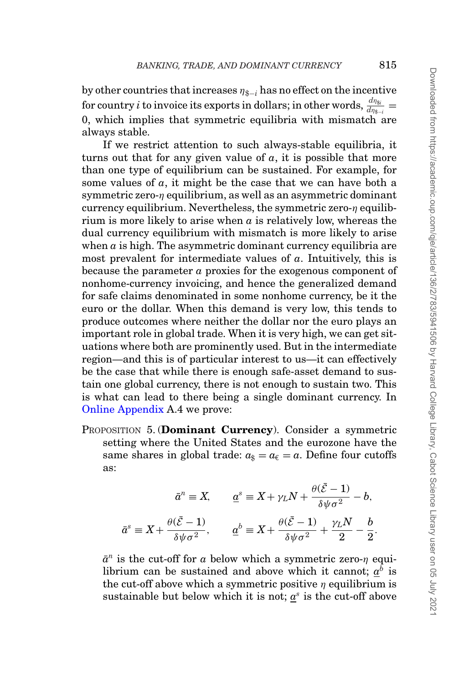by other countries that increases  $\eta_{\hat{\mathbf{x}}-i}$  has no effect on the incentive  $\frac{dm_{\text{S}i}}{dm_{\text{S}-i}} =$ 0, which implies that symmetric equilibria with mismatch are always stable.

If we restrict attention to such always-stable equilibria, it turns out that for any given value of  $a$ , it is possible that more than one type of equilibrium can be sustained. For example, for some values of *a*, it might be the case that we can have both a symmetric zero- $\eta$  equilibrium, as well as an asymmetric dominant currency equilibrium. Nevertheless, the symmetric zero- $\eta$  equilibrium is more likely to arise when  $\alpha$  is relatively low, whereas the dual currency equilibrium with mismatch is more likely to arise when  $a$  is high. The asymmetric dominant currency equilibria are most prevalent for intermediate values of *a*. Intuitively, this is because the parameter *a* proxies for the exogenous component of nonhome-currency invoicing, and hence the generalized demand for safe claims denominated in some nonhome currency, be it the euro or the dollar. When this demand is very low, this tends to produce outcomes where neither the dollar nor the euro plays an important role in global trade. When it is very high, we can get situations where both are prominently used. But in the intermediate region—and this is of particular interest to us—it can effectively be the case that while there is enough safe-asset demand to sustain one global currency, there is not enough to sustain two. This is what can lead to there being a single dominant currency. In [Online Appendix](file:qje.oxfordjournals.org) A.4 we prove:

<span id="page-32-0"></span>PROPOSITION 5. (**Dominant Currency**). Consider a symmetric setting where the United States and the eurozone have the same shares in global trade:  $a_{\$} = a_{\$} = a$ . Define four cutoffs as:

$$
\bar{a}^n \equiv X, \qquad \underline{a}^s \equiv X + \gamma_L N + \frac{\theta(\bar{\mathcal{E}} - 1)}{\delta \psi \sigma^2} - b,
$$

$$
\bar{a}^s \equiv X + \frac{\theta(\bar{\mathcal{E}} - 1)}{\delta \psi \sigma^2}, \qquad \underline{a}^b \equiv X + \frac{\theta(\bar{\mathcal{E}} - 1)}{\delta \psi \sigma^2} + \frac{\gamma_L N}{2} - \frac{b}{2}.
$$

 $\bar{a}^n$  is the cut-off for *a* below which a symmetric zero- $\eta$  equilibrium can be sustained and above which it cannot;  $a^b$  is the cut-off above which a symmetric positive  $\eta$  equilibrium is sustainable but below which it is not;  $a^s$  is the cut-off above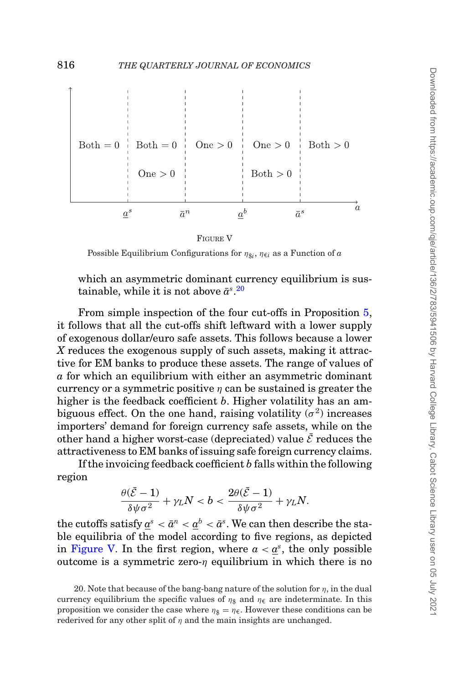<span id="page-33-1"></span>

FIGURE V

Possible Equilibrium Configurations for  $\eta_{\hat{\mathcal{S}}i}$ ,  $\eta_{\hat{\mathcal{C}}i}$  as a Function of *a* 

which an asymmetric dominant currency equilibrium is sus $tainable, while it is not above  $\bar{a}^s$ .$ 

From simple inspection of the four cut-offs in Proposition [5,](#page-32-0) it follows that all the cut-offs shift leftward with a lower supply of exogenous dollar/euro safe assets. This follows because a lower *X* reduces the exogenous supply of such assets, making it attractive for EM banks to produce these assets. The range of values of *a* for which an equilibrium with either an asymmetric dominant currency or a symmetric positive  $\eta$  can be sustained is greater the higher is the feedback coefficient *b*. Higher volatility has an ambiguous effect. On the one hand, raising volatility  $(\sigma^2)$  increases importers' demand for foreign currency safe assets, while on the other hand a higher worst-case (depreciated) value  $\bar{\mathcal{E}}$  reduces the attractiveness to EM banks of issuing safe foreign currency claims.

If the invoicing feedback coefficient *b* falls within the following region

$$
\frac{\theta(\bar{\mathcal{E}}-1)}{\delta \psi \sigma^2} + \gamma_L N < b < \frac{2\theta(\bar{\mathcal{E}}-1)}{\delta \psi \sigma^2} + \gamma_L N.
$$

the cutoffs satisfy  $a^s < \bar{a}^n < a^b < \bar{a}^s$ . We can then describe the stable equilibria of the model according to five regions, as depicted in [Figure V.](#page-33-1) In the first region, where  $a < a<sup>s</sup>$ , the only possible outcome is a symmetric zero- $\eta$  equilibrium in which there is no

<span id="page-33-0"></span><sup>20.</sup> Note that because of the bang-bang nature of the solution for  $\eta$ , in the dual currency equilibrium the specific values of  $\eta_{\$}$  and  $\eta_{\epsilon}$  are indeterminate. In this proposition we consider the case where  $\eta_{\hat{s}} = \eta_{\hat{\epsilon}}$ . However these conditions can be rederived for any other split of  $\eta$  and the main insights are unchanged.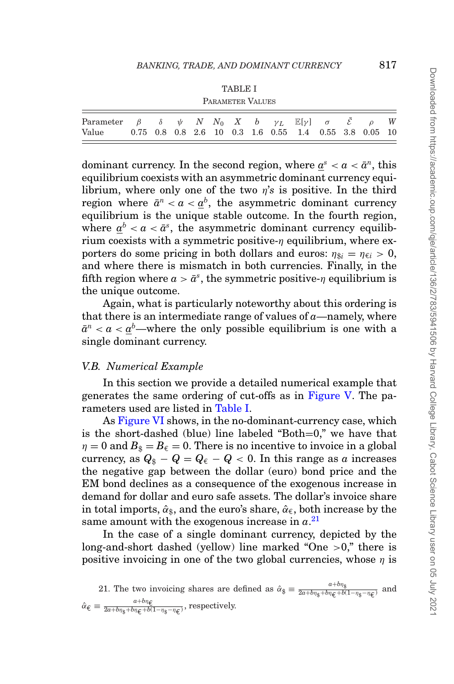|--|--|

<span id="page-34-0"></span>

| Parameter $\beta$ $\delta$ $\psi$ N N <sub>0</sub> X b $\gamma_L$ $\mathbb{E}[\gamma]$ $\sigma$ $\bar{\mathcal{E}}$ $\rho$ W<br>Value 0.75 0.8 0.8 2.6 10 0.3 1.6 0.55 1.4 0.55 3.8 0.05 10 |  |  |  |  |  |  |  |  |  |  |  |  |  |
|---------------------------------------------------------------------------------------------------------------------------------------------------------------------------------------------|--|--|--|--|--|--|--|--|--|--|--|--|--|
|---------------------------------------------------------------------------------------------------------------------------------------------------------------------------------------------|--|--|--|--|--|--|--|--|--|--|--|--|--|

dominant currency. In the second region, where  $a^s < a < \bar{a}^n$ , this equilibrium coexists with an asymmetric dominant currency equilibrium, where only one of the two η'*s* is positive. In the third region where  $\bar{a}^n < a < a^b$ , the asymmetric dominant currency equilibrium is the unique stable outcome. In the fourth region, where  $a^b < a < \bar{a}^s$ , the asymmetric dominant currency equilibrium coexists with a symmetric positive- $\eta$  equilibrium, where exporters do some pricing in both dollars and euros:  $\eta_{\text{S}i} = \eta_{\text{E}i} > 0$ , and where there is mismatch in both currencies. Finally, in the fifth region where  $a > \bar{a}^s$ , the symmetric positive- $\eta$  equilibrium is the unique outcome.

Again, what is particularly noteworthy about this ordering is that there is an intermediate range of values of  $a$ —namely, where  $a^2 < a < a^b$ —wh[e](#page-34-0)re the only possible equilibrium is one with a single dominant currency.

## *V.B. Numerical Example*

In this section we provide a detailed numerical example that generates the same ordering of cut-offs as in [Figure V.](#page-33-1) The parameters used are listed in [Table I.](#page-34-0)

As [Figure VI](#page-35-0) shows, in the no-dominant-currency case, which is the short-dashed (blue) line labeled "Both=0," we have that  $\eta = 0$  and  $B_{\hat{s}} = B_{\hat{\epsilon}} = 0$ . There is no incentive to invoice in a global currency, as  $Q_{\hat{s}} - Q = Q_{\hat{\epsilon}} - Q < 0$ . In this range as *a* increases the negative gap between the dollar (euro) bond price and the EM bond declines as a consequence of the exogenous increase in demand for dollar and euro safe assets. The dollar's invoice share in total imports,  $\hat{\alpha}_s$ , and the euro's share,  $\hat{\alpha}_\epsilon$ , both increase by the same amount with the exogenous increase in *a*. [21](#page-34-1)

In the case of a single dominant currency, depicted by the long-and-short dashed (yellow) line marked "One >0," there is positive invoicing in one of the two global currencies, whose  $\eta$  is

<span id="page-34-1"></span>21. The two involving shares are defined as 
$$
\hat{\alpha}_{\hat{\xi}} \equiv \frac{a+b\eta_{\hat{\xi}}}{2a+b\eta_{\hat{\xi}}+b(1-\eta_{\hat{\xi}}-\eta_{\hat{\xi}})}
$$
 and  $\hat{\alpha}_{\hat{\xi}} \equiv \frac{a+b\eta_{\hat{\xi}}}{2a+b\eta_{\hat{\xi}}+b(1-\eta_{\hat{\xi}}-\eta_{\hat{\xi}})}$ , respectively.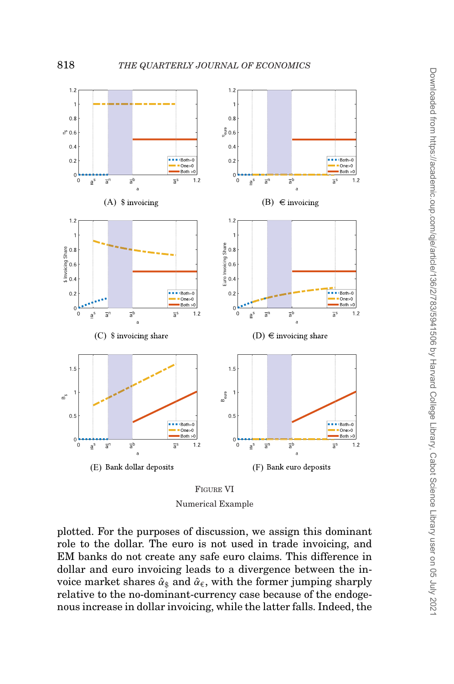<span id="page-35-0"></span>

FIGURE VI Numerical Example

plotted. For the purposes of discussion, we assign this dominant role to the dollar. The euro is not used in trade invoicing, and EM banks do not create any safe euro claims. This difference in dollar and euro invoicing leads to a divergence between the invoice market shares  $\hat{\alpha}_s$  and  $\hat{\alpha}_\epsilon$ , with the former jumping sharply relative to the no-dominant-currency case because of the endogenous increase in dollar invoicing, while the latter falls. Indeed, the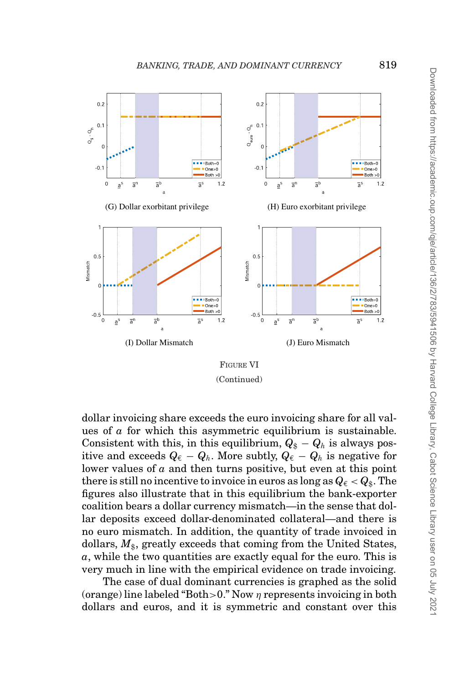<span id="page-36-0"></span>

FIGURE VI (Continued)

dollar invoicing share exceeds the euro invoicing share for all values of *a* for which this asymmetric equilibrium is sustainable. Consistent with this, in this equilibrium,  $Q_{\$} - Q_{h}$  is always positive and exceeds  $Q_{\epsilon} - Q_h$ . More subtly,  $Q_{\epsilon} - Q_h$  is negative for lower values of *a* and then turns positive, but even at this point there is still no incentive to invoice in euros as long as  $Q_{\epsilon} < Q_{\epsilon}$ . The figures also illustrate that in this equilibrium the bank-exporter coalition bears a dollar currency mismatch—in the sense that dollar deposits exceed dollar-denominated collateral—and there is no euro mismatch. In addition, the quantity of trade invoiced in dollars,  $M_{\text{s}}$ , greatly exceeds that coming from the United States, *a*, while the two quantities are exactly equal for the euro. This is very much in line with the empirical evidence on trade invoicing.

The case of dual dominant currencies is graphed as the solid (orange) line labeled "Both > 0." Now  $\eta$  represents invoicing in both dollars and euros, and it is symmetric and constant over this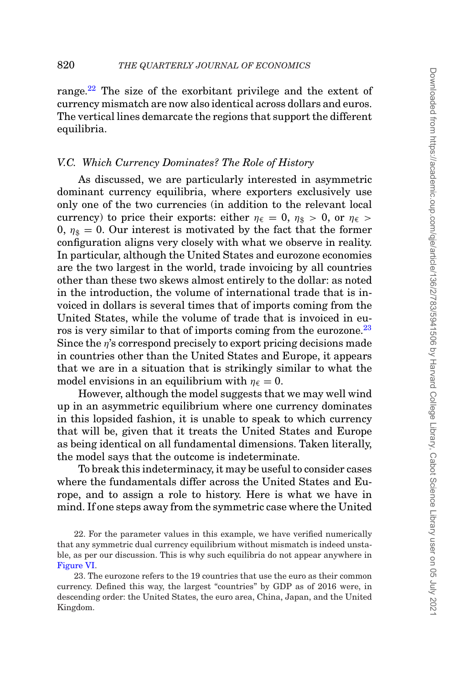range.<sup>[22](#page-37-0)</sup> The size of the exorbitant privilege and the extent of currency mismatch are now also identical across dollars and euros. The vertical lines demarcate the regions that support the different equilibria.

# *V.C. Which Currency Dominates? The Role of History*

As discussed, we are particularly interested in asymmetric dominant currency equilibria, where exporters exclusively use only one of the two currencies (in addition to the relevant local currency) to price their exports: either  $\eta_{\epsilon} = 0$ ,  $\eta_{\hat{x}} > 0$ , or  $\eta_{\epsilon} >$ 0,  $\eta_{\hat{x}} = 0$ . Our interest is motivated by the fact that the former configuration aligns very closely with what we observe in reality. In particular, although the United States and eurozone economies are the two largest in the world, trade invoicing by all countries other than these two skews almost entirely to the dollar: as noted in the introduction, the volume of international trade that is invoiced in dollars is several times that of imports coming from the United States, while the volume of trade that is invoiced in euros is very similar to that of imports coming from the eurozone.<sup>23</sup> Since the *n*'s correspond precisely to export pricing decisions made in countries other than the United States and Europe, it appears that we are in a situation that is strikingly similar to what the model envisions in an equilibrium with  $\eta_{\epsilon} = 0$ .

However, although the model suggests that we may well wind up in an asymmetric equilibrium where one currency dominates in this lopsided fashion, it is unable to speak to which currency that will be, given that it treats the United States and Europe as being identical on all fundamental dimensions. Taken literally, the model says that the outcome is indeterminate.

To break this indeterminacy, it may be useful to consider cases where the fundamentals differ across the United States and Europe, and to assign a role to history. Here is what we have in mind. If one steps away from the symmetric case where the United

<span id="page-37-0"></span>22. For the parameter values in this example, we have verified numerically that any symmetric dual currency equilibrium without mismatch is indeed unstable, as per our discussion. This is why such equilibria do not appear anywhere in [Figure VI.](#page-35-0)

<span id="page-37-1"></span>23. The eurozone refers to the 19 countries that use the euro as their common currency. Defined this way, the largest "countries" by GDP as of 2016 were, in descending order: the United States, the euro area, China, Japan, and the United Kingdom.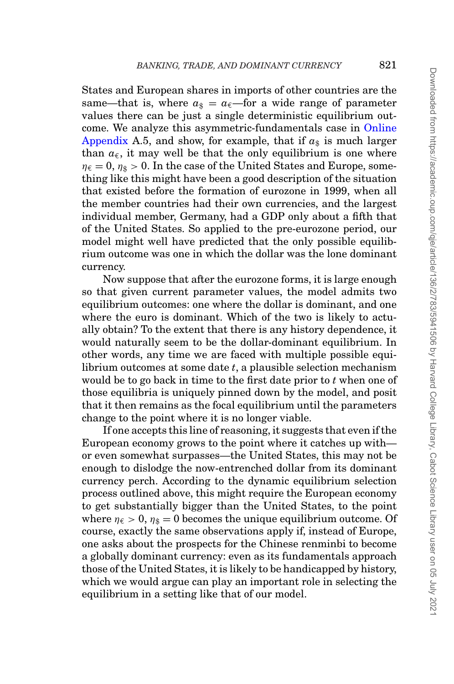States and European shares in imports of other countries are the same—that is, where  $a_{\text{s}} = a_{\text{f}}$ —for a wide range of parameter values there can be just a single deterministic equilibrium outcome. We analyze this asymmetric-fundamentals case in [Online](file:qje.oxfordjournals.org) [Appendix](file:qje.oxfordjournals.org) A.5, and show, for example, that if  $a_{\hat{s}}$  is much larger than  $a_{\epsilon}$ , it may well be that the only equilibrium is one where  $\eta_{\epsilon} = 0$ ,  $\eta_{\delta} > 0$ . In the case of the United States and Europe, something like this might have been a good description of the situation that existed before the formation of eurozone in 1999, when all the member countries had their own currencies, and the largest individual member, Germany, had a GDP only about a fifth that of the United States. So applied to the pre-eurozone period, our model might well have predicted that the only possible equilibrium outcome was one in which the dollar was the lone dominant currency.

Now suppose that after the eurozone forms, it is large enough so that given current parameter values, the model admits two equilibrium outcomes: one where the dollar is dominant, and one where the euro is dominant. Which of the two is likely to actually obtain? To the extent that there is any history dependence, it would naturally seem to be the dollar-dominant equilibrium. In other words, any time we are faced with multiple possible equilibrium outcomes at some date *t*, a plausible selection mechanism would be to go back in time to the first date prior to *t* when one of those equilibria is uniquely pinned down by the model, and posit that it then remains as the focal equilibrium until the parameters change to the point where it is no longer viable.

If one accepts this line of reasoning, it suggests that even if the European economy grows to the point where it catches up with or even somewhat surpasses—the United States, this may not be enough to dislodge the now-entrenched dollar from its dominant currency perch. According to the dynamic equilibrium selection process outlined above, this might require the European economy to get substantially bigger than the United States, to the point where  $\eta_{\epsilon} > 0$ ,  $\eta_{\epsilon} = 0$  becomes the unique equilibrium outcome. Of course, exactly the same observations apply if, instead of Europe, one asks about the prospects for the Chinese renminbi to become a globally dominant currency: even as its fundamentals approach those of the United States, it is likely to be handicapped by history, which we would argue can play an important role in selecting the equilibrium in a setting like that of our model.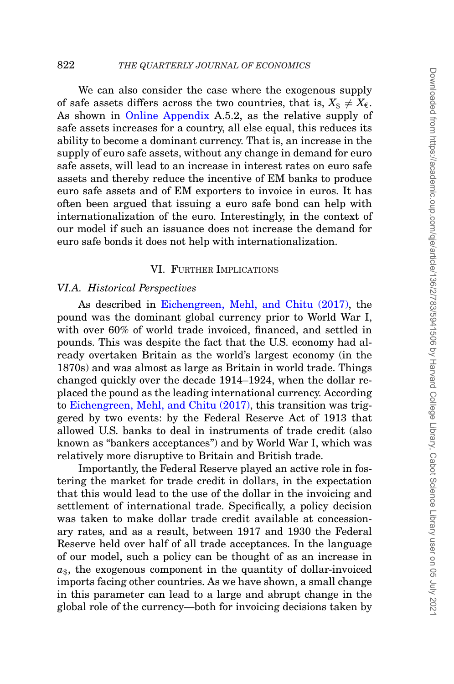We can also consider the case where the exogenous supply of safe assets differs across the two countries, that is,  $X_{\text{s}} \neq X_{\epsilon}$ . As shown in [Online Appendix](file:qje.oxfordjournals.org) A.5.2, as the relative supply of safe assets increases for a country, all else equal, this reduces its ability to become a dominant currency. That is, an increase in the supply of euro safe assets, without any change in demand for euro safe assets, will lead to an increase in interest rates on euro safe assets and thereby reduce the incentive of EM banks to produce euro safe assets and of EM exporters to invoice in euros. It has often been argued that issuing a euro safe bond can help with internationalization of the euro. Interestingly, in the context of our model if such an issuance does not increase the demand for euro safe bonds it does not help with internationalization.

## <span id="page-39-0"></span>VI. FURTHER IMPLICATIONS

#### *VI.A. Historical Perspectives*

As described in [Eichengreen, Mehl, and Chitu \(2017\),](#page-46-24) the pound was the dominant global currency prior to World War I, with over 60% of world trade invoiced, financed, and settled in pounds. This was despite the fact that the U.S. economy had already overtaken Britain as the world's largest economy (in the 1870s) and was almost as large as Britain in world trade. Things changed quickly over the decade 1914–1924, when the dollar replaced the pound as the leading international currency. According to [Eichengreen, Mehl, and Chitu \(2017\),](#page-46-24) this transition was triggered by two events: by the Federal Reserve Act of 1913 that allowed U.S. banks to deal in instruments of trade credit (also known as "bankers acceptances") and by World War I, which was relatively more disruptive to Britain and British trade.

Importantly, the Federal Reserve played an active role in fostering the market for trade credit in dollars, in the expectation that this would lead to the use of the dollar in the invoicing and settlement of international trade. Specifically, a policy decision was taken to make dollar trade credit available at concessionary rates, and as a result, between 1917 and 1930 the Federal Reserve held over half of all trade acceptances. In the language of our model, such a policy can be thought of as an increase in  $a_{\text{A}}$ , the exogenous component in the quantity of dollar-invoiced imports facing other countries. As we have shown, a small change in this parameter can lead to a large and abrupt change in the global role of the currency—both for invoicing decisions taken by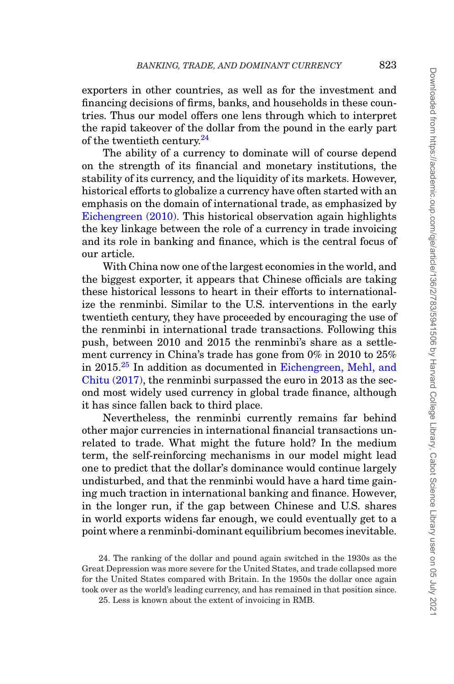exporters in other countries, as well as for the investment and financing decisions of firms, banks, and households in these countries. Thus our model offers one lens through which to interpret the rapid takeover of the dollar from the pound in the early part of the twentieth century.<sup>24</sup>

The ability of a currency to dominate will of course depend on the strength of its financial and monetary institutions, the stability of its currency, and the liquidity of its markets. However, historical efforts to globalize a currency have often started with an emphasis on the domain of international trade, as emphasized by [Eichengreen \(2010\).](#page-46-16) This historical observation again highlights the key linkage between the role of a currency in trade invoicing and its role in banking and finance, which is the central focus of our article.

With China now one of the largest economies in the world, and the biggest exporter, it appears that Chinese officials are taking these historical lessons to heart in their efforts to internationalize the renminbi. Similar to the U.S. interventions in the early twentieth century, they have proceeded by encouraging the use of the renminbi in international trade transactions. Following this push, between 2010 and 2015 the renminbi's share as a settlement currency in China's trade has gone from 0% in 2010 to 25% in 2015.<sup>25</sup> In addition as documented in [Eichengreen, Mehl, and](#page-46-24) [Chitu \(2017\),](#page-46-24) the renminbi surpassed the euro in 2013 as the second most widely used currency in global trade finance, although it has since fallen back to third place.

Nevertheless, the renminbi currently remains far behind other major currencies in international financial transactions unrelated to trade. What might the future hold? In the medium term, the self-reinforcing mechanisms in our model might lead one to predict that the dollar's dominance would continue largely undisturbed, and that the renminbi would have a hard time gaining much traction in international banking and finance. However, in the longer run, if the gap between Chinese and U.S. shares in world exports widens far enough, we could eventually get to a point where a renminbi-dominant equilibrium becomes inevitable.

<span id="page-40-0"></span><sup>24.</sup> The ranking of the dollar and pound again switched in the 1930s as the Great Depression was more severe for the United States, and trade collapsed more for the United States compared with Britain. In the 1950s the dollar once again took over as the world's leading currency, and has remained in that position since.

<span id="page-40-1"></span><sup>25.</sup> Less is known about the extent of invoicing in RMB.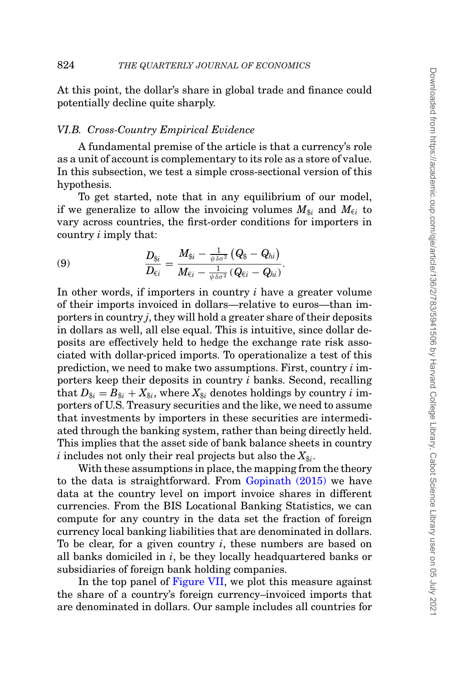At this point, the dollar's share in global trade and finance could potentially decline quite sharply.

#### *VI.B. Cross-Country Empirical Evidence*

A fundamental premise of the article is that a currency's role as a unit of account is complementary to its role as a store of value. In this subsection, we test a simple cross-sectional version of this hypothesis.

To get started, note that in any equilibrium of our model, if we generalize to allow the invoicing volumes  $M_{\hat{\kappa}i}$  and  $M_{\hat{\epsilon}i}$  to vary across countries, the first-order conditions for importers in country *i* imply that:

$$
(9) \qquad \qquad \frac{D_{\S i}}{D_{\epsilon i}} = \frac{M_{\S i} - \frac{1}{\psi \delta \sigma^2} \left(Q_{\S} - Q_{hi}\right)}{M_{\epsilon i} - \frac{1}{\psi \delta \sigma^2} \left(Q_{\epsilon i} - Q_{hi}\right)}.
$$

In other words, if importers in country *i* have a greater volume of their imports invoiced in dollars—relative to euros—than importers in country *j*, they will hold a greater share of their deposits in dollars as well, all else equal. This is intuitive, since dollar deposits are effectively held to hedge the exchange rate risk associated with dollar-priced imports. To operationalize a test of this prediction, we need to make two assumptions. First, country *i* importers keep their deposits in country *i* banks. Second, recalling that  $D_{\hat{x}i} = B_{\hat{x}i} + X_{\hat{x}i}$ , where  $X_{\hat{x}i}$  denotes holdings by country *i* importers of U.S. Treasury securities and the like, we need to assume that investments by importers in these securities are intermediated through the banking system, rather than being directly held. This implies that the asset side of bank balance sheets in country  $i$  includes not only their real projects but also the  $X_{\text{\$i}}$ .

With these assumptions in place, the mapping from the theory to the data is straightforward. From [Gopinath \(2015\)](#page-46-1) we have data at the country level on import invoice shares in different currencies. From the BIS Locational Banking Statistics, we can compute for any country in the data set the fraction of foreign currency local banking liabilities that are denominated in dollars. To be clear, for a given country *i*, these numbers are based on all banks domiciled in *i*, be they locally headquartered banks or subsidiaries of foreign bank holding companies.

In the top panel of [Figure VII,](#page-42-0) we plot this measure against the share of a country's foreign currency–invoiced imports that are denominated in dollars. Our sample includes all countries for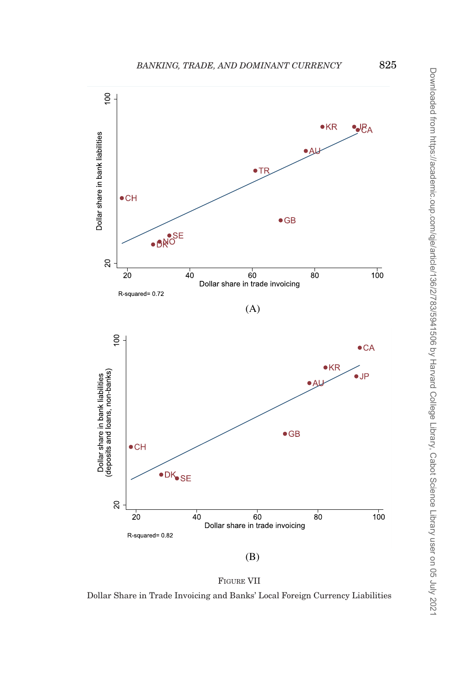<span id="page-42-0"></span>



Dollar Share in Trade Invoicing and Banks' Local Foreign Currency Liabilities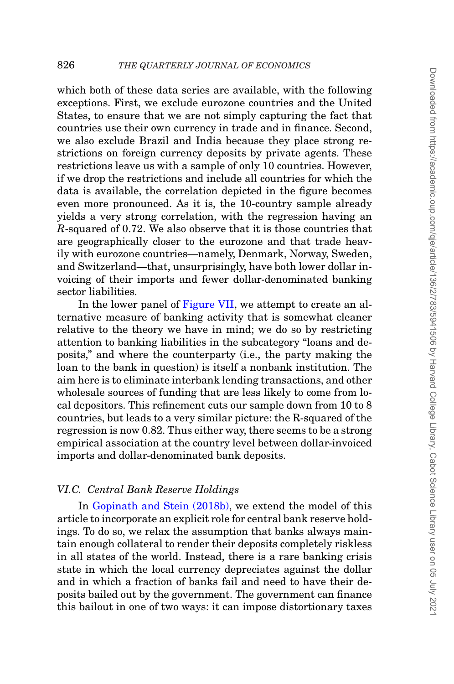which both of these data series are available, with the following exceptions. First, we exclude eurozone countries and the United States, to ensure that we are not simply capturing the fact that countries use their own currency in trade and in finance. Second, we also exclude Brazil and India because they place strong restrictions on foreign currency deposits by private agents. These restrictions leave us with a sample of only 10 countries. However, if we drop the restrictions and include all countries for which the data is available, the correlation depicted in the figure becomes even more pronounced. As it is, the 10-country sample already yields a very strong correlation, with the regression having an *R*-squared of 0.72. We also observe that it is those countries that are geographically closer to the eurozone and that trade heavily with eurozone countries—namely, Denmark, Norway, Sweden, and Switzerland—that, unsurprisingly, have both lower dollar invoicing of their imports and fewer dollar-denominated banking sector liabilities.

In the lower panel of [Figure VII,](#page-42-0) we attempt to create an alternative measure of banking activity that is somewhat cleaner relative to the theory we have in mind; we do so by restricting attention to banking liabilities in the subcategory "loans and deposits," and where the counterparty (i.e., the party making the loan to the bank in question) is itself a nonbank institution. The aim here is to eliminate interbank lending transactions, and other wholesale sources of funding that are less likely to come from local depositors. This refinement cuts our sample down from 10 to 8 countries, but leads to a very similar picture: the R-squared of the regression is now 0.82. Thus either way, there seems to be a strong empirical association at the country level between dollar-invoiced imports and dollar-denominated bank deposits.

# *VI.C. Central Bank Reserve Holdings*

In [Gopinath and Stein \(2018b\),](#page-46-14) we extend the model of this article to incorporate an explicit role for central bank reserve holdings. To do so, we relax the assumption that banks always maintain enough collateral to render their deposits completely riskless in all states of the world. Instead, there is a rare banking crisis state in which the local currency depreciates against the dollar and in which a fraction of banks fail and need to have their deposits bailed out by the government. The government can finance this bailout in one of two ways: it can impose distortionary taxes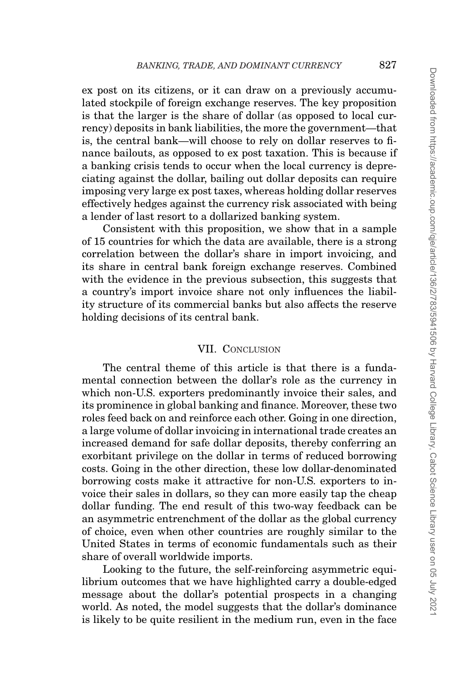ex post on its citizens, or it can draw on a previously accumulated stockpile of foreign exchange reserves. The key proposition is that the larger is the share of dollar (as opposed to local currency) deposits in bank liabilities, the more the government—that is, the central bank—will choose to rely on dollar reserves to finance bailouts, as opposed to ex post taxation. This is because if a banking crisis tends to occur when the local currency is depreciating against the dollar, bailing out dollar deposits can require imposing very large ex post taxes, whereas holding dollar reserves effectively hedges against the currency risk associated with being a lender of last resort to a dollarized banking system.

Consistent with this proposition, we show that in a sample of 15 countries for which the data are available, there is a strong correlation between the dollar's share in import invoicing, and its share in central bank foreign exchange reserves. Combined with the evidence in the previous subsection, this suggests that a country's import invoice share not only influences the liability structure of its commercial banks but also affects the reserve holding decisions of its central bank.

## <span id="page-44-0"></span>VII. CONCLUSION

The central theme of this article is that there is a fundamental connection between the dollar's role as the currency in which non-U.S. exporters predominantly invoice their sales, and its prominence in global banking and finance. Moreover, these two roles feed back on and reinforce each other. Going in one direction, a large volume of dollar invoicing in international trade creates an increased demand for safe dollar deposits, thereby conferring an exorbitant privilege on the dollar in terms of reduced borrowing costs. Going in the other direction, these low dollar-denominated borrowing costs make it attractive for non-U.S. exporters to invoice their sales in dollars, so they can more easily tap the cheap dollar funding. The end result of this two-way feedback can be an asymmetric entrenchment of the dollar as the global currency of choice, even when other countries are roughly similar to the United States in terms of economic fundamentals such as their share of overall worldwide imports.

Looking to the future, the self-reinforcing asymmetric equilibrium outcomes that we have highlighted carry a double-edged message about the dollar's potential prospects in a changing world. As noted, the model suggests that the dollar's dominance is likely to be quite resilient in the medium run, even in the face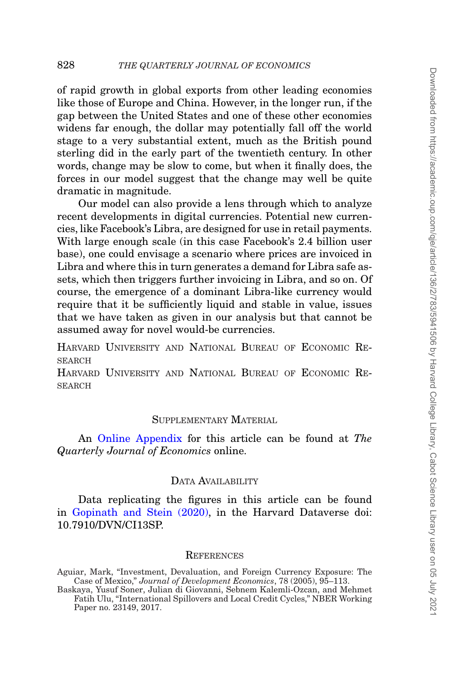of rapid growth in global exports from other leading economies like those of Europe and China. However, in the longer run, if the gap between the United States and one of these other economies widens far enough, the dollar may potentially fall off the world stage to a very substantial extent, much as the British pound sterling did in the early part of the twentieth century. In other words, change may be slow to come, but when it finally does, the forces in our model suggest that the change may well be quite dramatic in magnitude.

Our model can also provide a lens through which to analyze recent developments in digital currencies. Potential new currencies, like Facebook's Libra, are designed for use in retail payments. With large enough scale (in this case Facebook's 2.4 billion user base), one could envisage a scenario where prices are invoiced in Libra and where this in turn generates a demand for Libra safe assets, which then triggers further invoicing in Libra, and so on. Of course, the emergence of a dominant Libra-like currency would require that it be sufficiently liquid and stable in value, issues that we have taken as given in our analysis but that cannot be assumed away for novel would-be currencies.

HARVARD UNIVERSITY AND NATIONAL BUREAU OF ECONOMIC RE-**SEARCH** 

HARVARD UNIVERSITY AND NATIONAL BUREAU OF ECONOMIC RE-SEARCH

#### SUPPLEMENTARY MATERIAL

An [Online Appendix](file:qje.oxfordjournals.org) for this article can be found at *The Quarterly Journal of Economics* online.

## DATA AVAILABILITY

Data replicating the figures in this article can be found in [Gopinath and Stein \(2020\),](#page-46-25) in the Harvard Dataverse doi: 10.7910/DVN/CI13SP.

#### **REFERENCES**

<span id="page-45-0"></span>Aguiar, Mark, "Investment, Devaluation, and Foreign Currency Exposure: The Case of Mexico," *Journal of Development Economics*, 78 (2005), 95–113.

<span id="page-45-1"></span>Baskaya, Yusuf Soner, Julian di Giovanni, Sebnem Kalemli-Ozcan, and Mehmet Fatih Ulu, "International Spillovers and Local Credit Cycles," NBER Working Paper no. 23149, 2017.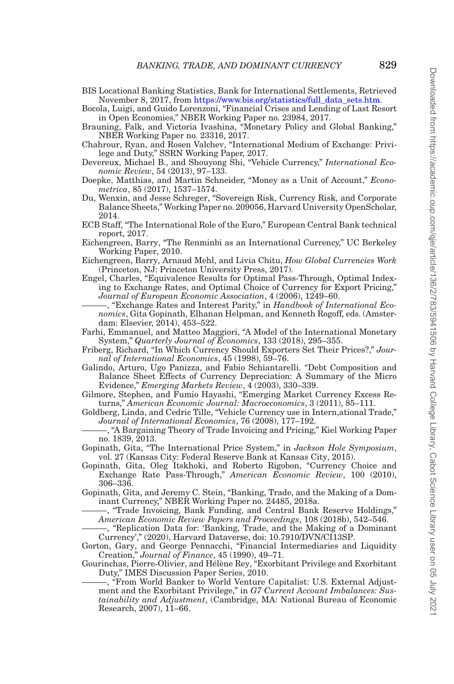<span id="page-46-2"></span>BIS Locational Banking Statistics, Bank for International Settlements, Retrieved November 8, 2017, from [https://www.bis.org/statistics/full\\_data\\_sets.htm.](https://www.bis.org/statistics/full_data_sets.htm)

<span id="page-46-15"></span>Bocola, Luigi, and Guido Lorenzoni, "Financial Crises and Lending of Last Resort in Open Economies," NBER Working Paper no. 23984, 2017.

- <span id="page-46-3"></span>Brauning, Falk, and Victoria Ivashina, "Monetary Policy and Global Banking," NBER Working Paper no. 23316, 2017.
- <span id="page-46-18"></span>Chahrour, Ryan, and Rosen Valchev, "International Medium of Exchange: Privilege and Duty," SSRN Working Paper, 2017.
- <span id="page-46-17"></span>Devereux, Michael B., and Shouyong Shi, "Vehicle Currency," *International Economic Review*, 54 (2013), 97–133.
- <span id="page-46-19"></span>Doepke, Matthias, and Martin Schneider, "Money as a Unit of Account," *Econometrica*, 85 (2017), 1537–1574.
- <span id="page-46-4"></span>Du, Wenxin, and Jesse Schreger, "Sovereign Risk, Currency Risk, and Corporate Balance Sheets," Working Paper no. 209056, Harvard University OpenScholar, 2014.
- <span id="page-46-5"></span>ECB Staff, "The International Role of the Euro," European Central Bank technical report, 2017.
- <span id="page-46-16"></span>Eichengreen, Barry, "The Renminbi as an International Currency," UC Berkeley Working Paper, 2010.
- <span id="page-46-24"></span>Eichengreen, Barry, Arnaud Mehl, and Livia Chitu, *How Global Currencies Work* (Princeton, NJ: Princeton University Press, 2017).
- <span id="page-46-9"></span>Engel, Charles, "Equivalence Results for Optimal Pass-Through, Optimal Indexing to Exchange Rates, and Optimal Choice of Currency for Export Pricing," *Journal of European Economic Association*, 4 (2006), 1249–60.
- <span id="page-46-20"></span>———, "Exchange Rates and Interest Parity," in *Handbook of International Economics*, Gita Gopinath, Elhanan Helpman, and Kenneth Rogoff, eds. (Amsterdam: Elsevier, 2014), 453–522.
- <span id="page-46-13"></span>Farhi, Emmanuel, and Matteo Maggiori, "A Model of the International Monetary System," *Quarterly Journal of Economics*, 133 (2018), 295–355.
- <span id="page-46-8"></span>Friberg, Richard, "In Which Currency Should Exporters Set Their Prices?," *Journal of International Economics*, 45 (1998), 59–76.
- <span id="page-46-22"></span>Galindo, Arturo, Ugo Panizza, and Fabio Schiantarelli. "Debt Composition and Balance Sheet Effects of Currency Depreciation: A Summary of the Micro Evidence," *Emerging Markets Review*, 4 (2003), 330–339.
- <span id="page-46-6"></span>Gilmore, Stephen, and Fumio Hayashi, "Emerging Market Currency Excess Returns," *American Economic Journal: Macroeconomics*, 3 (2011), 85–111.
- <span id="page-46-0"></span>Goldberg, Linda, and Cedric Tille, "Vehicle Currency use in Intern,ational Trade," *Journal of International Economics*, 76 (2008), 177–192.
- <span id="page-46-11"></span>———, "A Bargaining Theory of Trade Invoicing and Pricing," Kiel Working Paper no. 1839, 2013.
- <span id="page-46-1"></span>Gopinath, Gita, "The International Price System," in *Jackson Hole Symposium*, vol. 27 (Kansas City: Federal Reserve Bank at Kansas City, 2015).
- <span id="page-46-10"></span>Gopinath, Gita, Oleg Itskhoki, and Roberto Rigobon, "Currency Choice and Exchange Rate Pass-Through," *American Economic Review*, 100 (2010), 306–336.
- <span id="page-46-23"></span>Gopinath, Gita, and Jeremy C. Stein, "Banking, Trade, and the Making of a Dominant Currency," NBER Working Paper no. 24485, 2018a.

<span id="page-46-14"></span>, "Trade Invoicing, Bank Funding, and Central Bank Reserve Holdings," *American Economic Review Papers and Proceedings*, 108 (2018b), 542–546.

- <span id="page-46-25"></span>-, "Replication Data for: 'Banking, Trade, and the Making of a Dominant Currency'," (2020), Harvard Dataverse, doi: 10.7910/DVN/CI13SP.
- <span id="page-46-21"></span>Gorton, Gary, and George Pennacchi, "Financial Intermediaries and Liquidity Creation," *Journal of Finance*, 45 (1990), 49–71.
- <span id="page-46-12"></span>Gourinchas, Pierre-Olivier, and Hélène Rey, "Exorbitant Privilege and Exorbitant Duty," IMES Discussion Paper Series, 2010.

<span id="page-46-7"></span>———, "From World Banker to World Venture Capitalist: U.S. External Adjustment and the Exorbitant Privilege," in *G7 Current Account Imbalances: Sustainability and Adjustment*, (Cambridge, MA: National Bureau of Economic Research, 2007), 11–66.